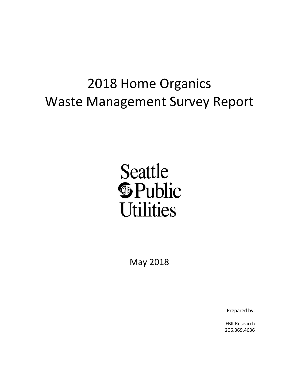# 2018 Home Organics Waste Management Survey Report

# Seattle **S**Public **Utilities**

May 2018

Prepared by:

FBK Research 206.369.4636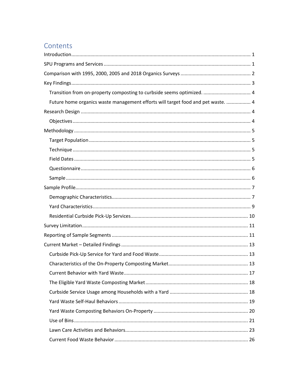# Contents

| Transition from on-property composting to curbside seems optimized.  4           |
|----------------------------------------------------------------------------------|
| Future home organics waste management efforts will target food and pet waste.  4 |
|                                                                                  |
|                                                                                  |
|                                                                                  |
|                                                                                  |
|                                                                                  |
|                                                                                  |
|                                                                                  |
|                                                                                  |
|                                                                                  |
|                                                                                  |
|                                                                                  |
|                                                                                  |
|                                                                                  |
|                                                                                  |
|                                                                                  |
|                                                                                  |
|                                                                                  |
|                                                                                  |
|                                                                                  |
|                                                                                  |
|                                                                                  |
|                                                                                  |
|                                                                                  |
|                                                                                  |
|                                                                                  |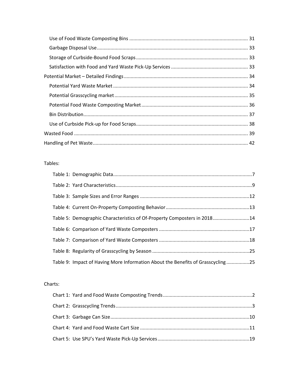## Tables:

| Table 5: Demographic Characteristics of Of-Property Composters in 201814        |  |
|---------------------------------------------------------------------------------|--|
|                                                                                 |  |
|                                                                                 |  |
|                                                                                 |  |
| Table 9: Impact of Having More Information About the Benefits of Grasscycling25 |  |

#### Charts: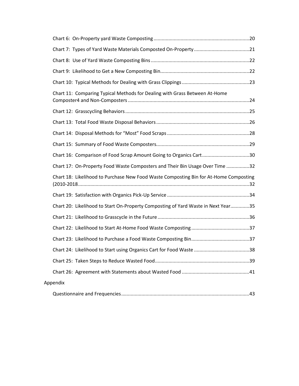| Chart 11: Comparing Typical Methods for Dealing with Grass Between At-Home            |  |
|---------------------------------------------------------------------------------------|--|
|                                                                                       |  |
|                                                                                       |  |
|                                                                                       |  |
|                                                                                       |  |
| Chart 16: Comparison of Food Scrap Amount Going to Organics Cart30                    |  |
| Chart 17: On-Property Food Waste Composters and Their Bin Usage Over Time 32          |  |
| Chart 18: Likelihood to Purchase New Food Waste Composting Bin for At-Home Composting |  |
|                                                                                       |  |
| Chart 20: Likelihood to Start On-Property Composting of Yard Waste in Next Year35     |  |
|                                                                                       |  |
|                                                                                       |  |
|                                                                                       |  |
|                                                                                       |  |
|                                                                                       |  |
|                                                                                       |  |
| Appendix                                                                              |  |
|                                                                                       |  |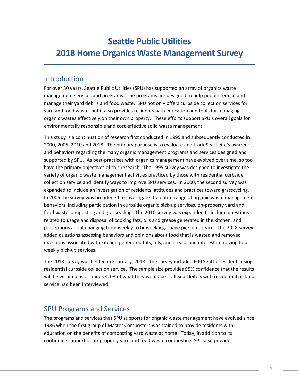# **Seattle Public Utilities 2018 Home Organics Waste Management Survey**

# <span id="page-4-0"></span>Introduction

For over 30 years, Seattle Public Utilities (SPU) has supported an array of organics waste management services and programs. The programs are designed to help people reduce and manage their yard debris and food waste. SPU not only offers curbside collection services for yard and food waste, but it also provides residents with education and tools for managing organic wastes effectively on their own property. These efforts support SPU's overall goals for environmentally responsible and cost-effective solid waste management.

This study is a continuation of research first conducted in 1995 and subsequently conducted in 2000, 2005, 2010 and 2018. The primary purpose is to evaluate and track Seattleite's awareness and behaviors regarding the many organic management programs and services designed and supported by SPU. As best-practices with organics management have evolved over time, so too have the primary objectives of this research. The 1995 survey was designed to investigate the variety of organic waste management activities practiced by those with residential curbside collection service and identify ways to improve SPU services. In 2000, the second survey was expanded to include an investigation of residents' attitudes and practices toward grasscycling. In 2005 the survey was broadened to investigate the entire range of organic waste management behaviors, including participation in curbside organic pick-up services, on-property yard and food waste composting and grasscycling. The 2010 survey was expanded to include questions related to usage and disposal of cooking fats, oils and grease generated in the kitchen, and perceptions about changing from weekly to bi-weekly garbage pick-up service. The 2018 survey added questions assessing behaviors and opinions about food that is wasted and removed questions associated with kitchen-generated fats, oils, and grease and interest in moving to biweekly pick-up services.

The 2018 survey was fielded in February, 2018. The survey included 600 Seattle residents using residential curbside collection service. The sample size provides 95% confidence that the results will be within plus or minus 4.1% of what they would be if all Seattleite's with residential pick-up service had been interviewed.

# <span id="page-4-1"></span>SPU Programs and Services

The programs and services that SPU supports for organic waste management have evolved since 1986 when the first group of Master Composters was trained to provide residents with education on the benefits of composting yard waste at home. Today, in addition to its continuing support of on-property yard and food waste composting, SPU also provides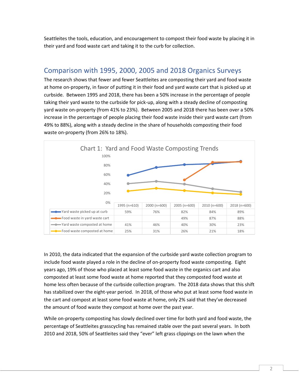Seattleites the tools, education, and encouragement to compost their food waste by placing it in their yard and food waste cart and taking it to the curb for collection.

# <span id="page-5-0"></span>Comparison with 1995, 2000, 2005 and 2018 Organics Surveys

The research shows that fewer and fewer Seattleites are composting their yard and food waste at home on-property, in favor of putting it in their food and yard waste cart that is picked up at curbside. Between 1995 and 2018, there has been a 50% increase in the percentage of people taking their yard waste to the curbside for pick-up, along with a steady decline of composting yard waste on-property (from 41% to 23%). Between 2005 and 2018 there has been over a 50% increase in the percentage of people placing their food waste inside their yard waste cart (from 49% to 88%), along with a steady decline in the share of households composting their food waste on-property (from 26% to 18%).



In 2010, the data indicated that the expansion of the curbside yard waste collection program to include food waste played a role in the decline of on-property food waste composting. Eight years ago, 19% of those who placed at least some food waste in the organics cart and also composted at least some food waste at home reported that they composted food waste at home less often because of the curbside collection program. The 2018 data shows that this shift has stabilized over the eight-year period. In 2018, of those who put at least some food waste in the cart and compost at least some food waste at home, only 2% said that they've decreased the amount of food waste they compost at home over the past year.

While on-property composting has slowly declined over time for both yard and food waste, the percentage of Seattleites grasscycling has remained stable over the past several years. In both 2010 and 2018, 50% of Seattleites said they "ever" left grass clippings on the lawn when the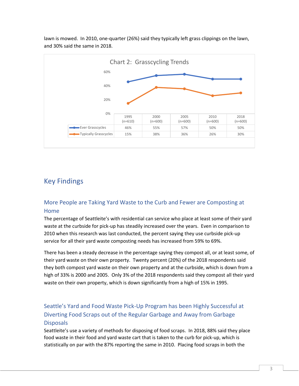

lawn is mowed. In 2010, one-quarter (26%) said they typically left grass clippings on the lawn, and 30% said the same in 2018.

# <span id="page-6-0"></span>Key Findings

# More People are Taking Yard Waste to the Curb and Fewer are Composting at Home

The percentage of Seattleite's with residential can service who place at least some of their yard waste at the curbside for pick-up has steadily increased over the years. Even in comparison to 2010 when this research was last conducted, the percent saying they use curbside pick-up service for all their yard waste composting needs has increased from 59% to 69%.

There has been a steady decrease in the percentage saying they compost all, or at least some, of their yard waste on their own property. Twenty percent (20%) of the 2018 respondents said they both compost yard waste on their own property and at the curbside, which is down from a high of 33% is 2000 and 2005. Only 3% of the 2018 respondents said they compost all their yard waste on their own property, which is down significantly from a high of 15% in 1995.

# Seattle's Yard and Food Waste Pick-Up Program has been Highly Successful at Diverting Food Scraps out of the Regular Garbage and Away from Garbage **Disposals**

Seattleite's use a variety of methods for disposing of food scraps. In 2018, 88% said they place food waste in their food and yard waste cart that is taken to the curb for pick-up, which is statistically on par with the 87% reporting the same in 2010. Placing food scraps in both the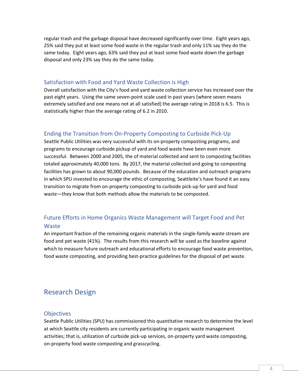regular trash and the garbage disposal have decreased significantly over time. Eight years ago, 25% said they put at least some food waste in the regular trash and only 11% say they do the same today. Eight years ago, 63% said they put at least some food waste down the garbage disposal and only 23% say they do the same today.

#### Satisfaction with Food and Yard Waste Collection is High

Overall satisfaction with the City's food and yard waste collection service has increased over the past eight years. Using the same seven-point scale used in past years (where seven means extremely satisfied and one means not at all satisfied) the average rating in 2018 is 6.5. This is statistically higher than the average rating of 6.2 in 2010.

## <span id="page-7-0"></span>Ending the Transition from On-Property Composting to Curbside Pick-Up

Seattle Public Utilities was very successful with its on-property composting programs, and programs to encourage curbside pickup of yard and food waste have been even more successful. Between 2000 and 2005, the of material collected and sent to composting facilities totaled approximately 40,000 tons. By 2017, the material collected and going to composting facilities has grown to about 90,000 pounds. Because of the education and outreach programs in which SPU invested to encourage the ethic of composting, Seattleite's have found it an easy transition to migrate from on-property composting to curbside pick-up for yard and food waste—they know that both methods allow the materials to be composted.

# <span id="page-7-1"></span>Future Efforts in Home Organics Waste Management will Target Food and Pet **Waste**

An important fraction of the remaining organic materials in the single-family waste stream are food and pet waste (41%). The results from this research will be used as the baseline against which to measure future outreach and educational efforts to encourage food waste prevention, food waste composting, and providing best-practice guidelines for the disposal of pet waste.

# <span id="page-7-2"></span>Research Design

#### <span id="page-7-3"></span>**Objectives**

Seattle Public Utilities (SPU) has commissioned this quantitative research to determine the level at which Seattle city residents are currently participating in organic waste management activities; that is, utilization of curbside pick-up services, on-property yard waste composting, on-property food waste composting and grasscycling.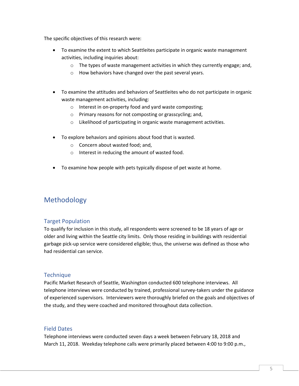The specific objectives of this research were:

- To examine the extent to which Seattleites participate in organic waste management activities, including inquiries about:
	- $\circ$  The types of waste management activities in which they currently engage; and,
	- o How behaviors have changed over the past several years.
- To examine the attitudes and behaviors of Seattleites who do not participate in organic waste management activities, including:
	- o Interest in on-property food and yard waste composting;
	- o Primary reasons for not composting or grasscycling; and,
	- o Likelihood of participating in organic waste management activities.
- To explore behaviors and opinions about food that is wasted.
	- o Concern about wasted food; and,
	- o Interest in reducing the amount of wasted food.
- To examine how people with pets typically dispose of pet waste at home.

# <span id="page-8-0"></span>Methodology

#### <span id="page-8-1"></span>Target Population

To qualify for inclusion in this study, all respondents were screened to be 18 years of age or older and living within the Seattle city limits. Only those residing in buildings with residential garbage pick-up service were considered eligible; thus, the universe was defined as those who had residential can service.

#### <span id="page-8-2"></span>**Technique**

Pacific Market Research of Seattle, Washington conducted 600 telephone interviews. All telephone interviews were conducted by trained, professional survey-takers under the guidance of experienced supervisors. Interviewers were thoroughly briefed on the goals and objectives of the study, and they were coached and monitored throughout data collection.

#### <span id="page-8-3"></span>Field Dates

Telephone interviews were conducted seven days a week between February 18, 2018 and March 11, 2018. Weekday telephone calls were primarily placed between 4:00 to 9:00 p.m.,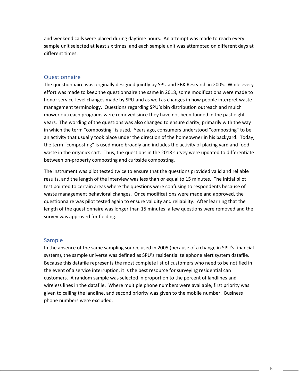and weekend calls were placed during daytime hours. An attempt was made to reach every sample unit selected at least six times, and each sample unit was attempted on different days at different times.

#### <span id="page-9-0"></span>**Questionnaire**

The questionnaire was originally designed jointly by SPU and FBK Research in 2005. While every effort was made to keep the questionnaire the same in 2018, some modifications were made to honor service-level changes made by SPU and as well as changes in how people interpret waste management terminology. Questions regarding SPU's bin distribution outreach and mulch mower outreach programs were removed since they have not been funded in the past eight years. The wording of the questions was also changed to ensure clarity, primarily with the way in which the term "composting" is used. Years ago, consumers understood "composting" to be an activity that usually took place under the direction of the homeowner in his backyard. Today, the term "composting" is used more broadly and includes the activity of placing yard and food waste in the organics cart. Thus, the questions in the 2018 survey were updated to differentiate between on-property composting and curbside composting.

The instrument was pilot tested twice to ensure that the questions provided valid and reliable results, and the length of the interview was less than or equal to 15 minutes. The initial pilot test pointed to certain areas where the questions were confusing to respondents because of waste management behavioral changes. Once modifications were made and approved, the questionnaire was pilot tested again to ensure validity and reliability. After learning that the length of the questionnaire was longer than 15 minutes, a few questions were removed and the survey was approved for fielding.

#### <span id="page-9-1"></span>Sample

<span id="page-9-2"></span>In the absence of the same sampling source used in 2005 (because of a change in SPU's financial system), the sample universe was defined as SPU's residential telephone alert system datafile. Because this datafile represents the most complete list of customers who need to be notified in the event of a service interruption, it is the best resource for surveying residential can customers. A random sample was selected in proportion to the percent of landlines and wireless lines in the datafile. Where multiple phone numbers were available, first priority was given to calling the landline, and second priority was given to the mobile number. Business phone numbers were excluded.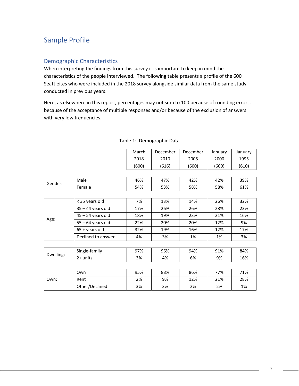# Sample Profile

## <span id="page-10-0"></span>Demographic Characteristics

When interpreting the findings from this survey it is important to keep in mind the characteristics of the people interviewed. The following table presents a profile of the 600 Seattleites who were included in the 2018 survey alongside similar data from the same study conducted in previous years.

Here, as elsewhere in this report, percentages may not sum to 100 because of rounding errors, because of the acceptance of multiple responses and/or because of the exclusion of answers with very low frequencies.

|           |                        | (600) | (616) | (600) | (600) | (610) |
|-----------|------------------------|-------|-------|-------|-------|-------|
|           |                        |       |       |       |       |       |
| Gender:   | Male                   | 46%   | 47%   | 42%   | 42%   | 39%   |
|           | Female                 | 54%   | 53%   | 58%   | 58%   | 61%   |
|           |                        |       |       |       |       |       |
|           | < 35 years old         | 7%    | 13%   | 14%   | 26%   | 32%   |
|           | $35 - 44$ years old    | 17%   | 26%   | 26%   | 28%   | 23%   |
|           | $45 - 54$ years old    | 18%   | 19%   | 23%   | 21%   | 16%   |
| Age:      | $55 - 64$ years old    | 22%   | 20%   | 20%   | 12%   | 9%    |
|           | $65 + \gamma$ ears old | 32%   | 19%   | 16%   | 12%   | 17%   |
|           | Declined to answer     | 4%    | 3%    | 1%    | 1%    | 3%    |
|           |                        |       |       |       |       |       |
| Dwelling: | Single-family          | 97%   | 96%   | 94%   | 91%   | 84%   |
|           | $2+$ units             | 3%    | 4%    | 6%    | 9%    | 16%   |
|           |                        |       |       |       |       |       |
| Own:      | Own                    | 95%   | 88%   | 86%   | 77%   | 71%   |
|           | Rent                   | 2%    | 9%    | 12%   | 21%   | 28%   |
|           | Other/Declined         | 3%    | 3%    | 2%    | 2%    | 1%    |

#### Table 1: Demographic Data

December 2010

December 2005

January 2000

January 1995

March 2018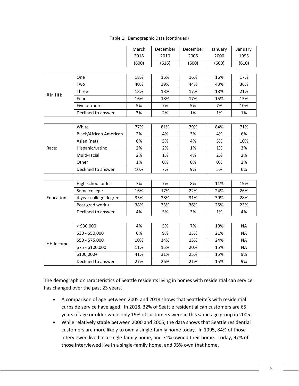|             |                        | March | December | December | January | January   |
|-------------|------------------------|-------|----------|----------|---------|-----------|
|             |                        | 2018  | 2010     | 2005     | 2000    | 1995      |
|             |                        | (600) | (616)    | (600)    | (600)   | (610)     |
|             |                        |       |          |          |         |           |
|             | One                    | 18%   | 16%      | 16%      | 16%     | 17%       |
|             | Two                    | 40%   | 39%      | 44%      | 43%     | 36%       |
| # in $HH$ : | Three                  | 18%   | 18%      | 17%      | 18%     | 21%       |
|             | Four                   | 16%   | 18%      | 17%      | 15%     | 15%       |
|             | Five or more           | 5%    | 7%       | 5%       | 7%      | 10%       |
|             | Declined to answer     | 3%    | 2%       | 1%       | 1%      | 1%        |
|             |                        |       |          |          |         |           |
|             | White                  | 77%   | 81%      | 79%      | 84%     | 71%       |
|             | Black/African American | 2%    | 4%       | 3%       | 4%      | 6%        |
|             | Asian (net)            | 6%    | 5%       | 4%       | 5%      | 10%       |
| Race:       | Hispanic/Latino        | 2%    | 2%       | 1%       | 1%      | 3%        |
|             | Multi-racial           | 2%    | 1%       | 4%       | 2%      | 2%        |
|             | Other                  | 1%    | 0%       | 0%       | 0%      | 2%        |
|             | Declined to answer     | 10%   | 7%       | 9%       | 5%      | 6%        |
|             |                        |       |          |          |         |           |
|             | High school or less    | 7%    | 7%       | 8%       | 11%     | 19%       |
|             | Some college           | 16%   | 17%      | 22%      | 24%     | 26%       |
| Education:  | 4-year college degree  | 35%   | 38%      | 31%      | 39%     | 28%       |
|             | Post grad work +       | 38%   | 33%      | 36%      | 25%     | 23%       |
|             | Declined to answer     | 4%    | 5%       | 3%       | 1%      | 4%        |
|             |                        |       |          |          |         |           |
|             | $<$ \$30,000           | 4%    | 5%       | 7%       | 10%     | <b>NA</b> |
|             | \$30 - \$50,000        | 6%    | 9%       | 13%      | 21%     | <b>NA</b> |
|             | \$50 - \$75,000        | 10%   | 14%      | 15%      | 24%     | <b>NA</b> |
| HH Income:  | \$75 - \$100,000       | 11%   | 15%      | 20%      | 15%     | <b>NA</b> |
|             | \$100,000+             | 41%   | 31%      | 25%      | 15%     | 9%        |
|             | Declined to answer     | 27%   | 26%      | 21%      | 15%     | 9%        |

Table 1: Demographic Data (continued)

The demographic characteristics of Seattle residents living in homes with residential can service has changed over the past 23 years.

- A comparison of age between 2005 and 2018 shows that Seattleite's with residential curbside service have aged. In 2018, 32% of Seattle residential can customers are 65 years of age or older while only 19% of customers were in this same age group in 2005.
- While relatively stable between 2000 and 2005, the data shows that Seattle residential customers are more likely to own a single-family home today. In 1995, 84% of those interviewed lived in a single-family home, and 71% owned their home. Today, 97% of those interviewed live in a single-family home, and 95% own that home.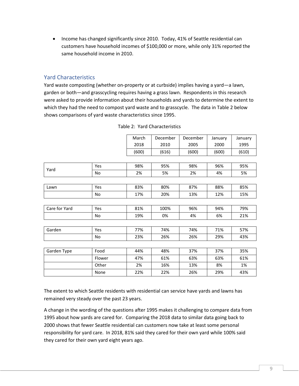• Income has changed significantly since 2010. Today, 41% of Seattle residential can customers have household incomes of \$100,000 or more, while only 31% reported the same household income in 2010.

#### <span id="page-12-0"></span>Yard Characteristics

Yard waste composting (whether on-property or at curbside) implies having a yard—a lawn, garden or both—and grasscycling requires having a grass lawn. Respondents in this research were asked to provide information about their households and yards to determine the extent to which they had the need to compost yard waste and to grasscycle. The data in Table 2 below shows comparisons of yard waste characteristics since 1995.

|               |        | March | December | December | January | January |
|---------------|--------|-------|----------|----------|---------|---------|
|               |        | 2018  | 2010     | 2005     | 2000    | 1995    |
|               |        | (600) | (616)    | (600)    | (600)   | (610)   |
|               |        |       |          |          |         |         |
| Yard          | Yes    | 98%   | 95%      | 98%      | 96%     | 95%     |
|               | No     | 2%    | 5%       | 2%       | 4%      | 5%      |
|               |        |       |          |          |         |         |
| Lawn          | Yes    | 83%   | 80%      | 87%      | 88%     | 85%     |
|               | No     | 17%   | 20%      | 13%      | 12%     | 15%     |
|               |        |       |          |          |         |         |
| Care for Yard | Yes    | 81%   | 100%     | 96%      | 94%     | 79%     |
|               | No     | 19%   | 0%       | 4%       | 6%      | 21%     |
|               |        |       |          |          |         |         |
| Garden        | Yes    | 77%   | 74%      | 74%      | 71%     | 57%     |
|               | No     | 23%   | 26%      | 26%      | 29%     | 43%     |
|               |        |       |          |          |         |         |
| Garden Type   | Food   | 44%   | 48%      | 37%      | 37%     | 35%     |
|               | Flower | 47%   | 61%      | 63%      | 63%     | 61%     |
|               | Other  | 2%    | 16%      | 13%      | 8%      | 1%      |
|               | None   | 22%   | 22%      | 26%      | 29%     | 43%     |

#### Table 2: Yard Characteristics

The extent to which Seattle residents with residential can service have yards and lawns has remained very steady over the past 23 years.

A change in the wording of the questions after 1995 makes it challenging to compare data from 1995 about how yards are cared for. Comparing the 2018 data to similar data going back to 2000 shows that fewer Seattle residential can customers now take at least some personal responsibility for yard care. In 2018, 81% said they cared for their own yard while 100% said they cared for their own yard eight years ago.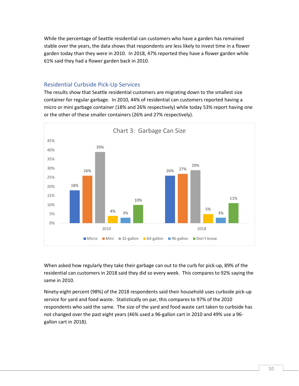While the percentage of Seattle residential can customers who have a garden has remained stable over the years, the data shows that respondents are less likely to invest time in a flower garden today than they were in 2010. In 2018, 47% reported they have a flower garden while 61% said they had a flower garden back in 2010.

## <span id="page-13-0"></span>Residential Curbside Pick-Up Services

The results show that Seattle residential customers are migrating down to the smallest size container for regular garbage. In 2010, 44% of residential can customers reported having a micro or mini garbage container (18% and 26% respectively) while today 53% report having one or the other of these smaller containers (26% and 27% respectively).



When asked how regularly they take their garbage can out to the curb for pick-up, 89% of the residential can customers in 2018 said they did so every week. This compares to 92% saying the same in 2010.

Ninety-eight percent (98%) of the 2018 respondents said their household uses curbside pick-up service for yard and food waste. Statistically on par, this compares to 97% of the 2010 respondents who said the same. The size of the yard and food waste cart taken to curbside has not changed over the past eight years (46% used a 96-gallon cart in 2010 and 49% use a 96 gallon cart in 2018).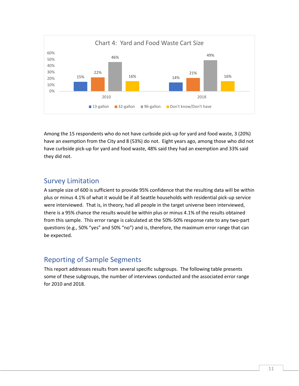

Among the 15 respondents who do not have curbside pick-up for yard and food waste, 3 (20%) have an exemption from the City and 8 (53%) do not. Eight years ago, among those who did not have curbside pick-up for yard and food waste, 48% said they had an exemption and 33% said they did not.

# <span id="page-14-0"></span>Survey Limitation

A sample size of 600 is sufficient to provide 95% confidence that the resulting data will be within plus or minus 4.1% of what it would be if all Seattle households with residential pick-up service were interviewed. That is, in theory, had all people in the target universe been interviewed, there is a 95% chance the results would be within plus or minus 4.1% of the results obtained from this sample. This error range is calculated at the 50%-50% response rate to any two-part questions (e.g., 50% "yes" and 50% "no") and is, therefore, the maximum error range that can be expected.

# <span id="page-14-1"></span>Reporting of Sample Segments

This report addresses results from several specific subgroups. The following table presents some of these subgroups, the number of interviews conducted and the associated error range for 2010 and 2018.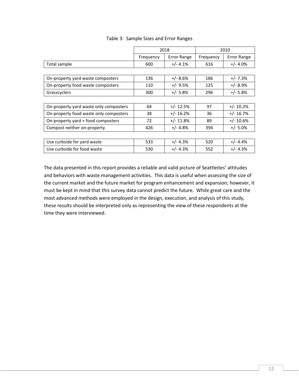|                                        |           | 2018               |           | 2010               |
|----------------------------------------|-----------|--------------------|-----------|--------------------|
|                                        | Frequency | <b>Error Range</b> | Frequency | <b>Error Range</b> |
| Total sample                           | 600       | $+/- 4.1%$         | 616       | $+/- 4.0%$         |
|                                        |           |                    |           |                    |
| On-property yard waste composters      | 136       | $+/- 8.6%$         | 186       | $+/- 7.3%$         |
| On-property food waste composters      | 110       | $+/-9.5%$          | 125       | $+/- 8.9%$         |
| Grasscyclers                           | 300       | $+/- 5.8%$         | 296       | $+/- 5.8%$         |
|                                        |           |                    |           |                    |
| On-property yard waste only composters | 64        | $+/- 12.5%$        | 97        | $+/- 10.2%$        |
| On-property food waste only composters | 38        | $+/- 16.2%$        | 36        | $+/- 16.7%$        |
| On-property yard + food composters     | 72        | $+/- 11.8%$        | 89        | $+/- 10.6%$        |
| Compost neither on-property            | 426       | $+/- 4.8%$         | 394       | $+/- 5.0\%$        |
|                                        |           |                    |           |                    |
| Use curbside for yard waste            | 533       | $+/- 4.3%$         | 520       | $+/- 4.4%$         |
| Use curbside for food waste            | 530       | $+/- 4.3%$         | 552       | $+/- 4.3%$         |

#### Table 3: Sample Sizes and Error Ranges

The data presented in this report provides a reliable and valid picture of Seattleites' attitudes and behaviors with waste management activities. This data is useful when assessing the size of the current market and the future market for program enhancement and expansion; however, it must be kept in mind that this survey data cannot predict the future. While great care and the most advanced methods were employed in the design, execution, and analysis of this study, these results should be interpreted only as representing the view of these respondents at the time they were interviewed.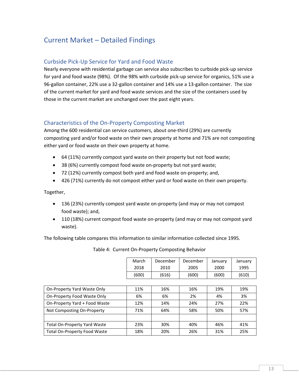# <span id="page-16-0"></span>Current Market – Detailed Findings

# <span id="page-16-1"></span>Curbside Pick-Up Service for Yard and Food Waste

Nearly everyone with residential garbage can service also subscribes to curbside pick-up service for yard and food waste (98%). Of the 98% with curbside pick-up service for organics, 51% use a 96-gallon container, 22% use a 32-gallon container and 14% use a 13-gallon container. The size of the current market for yard and food waste services and the size of the containers used by those in the current market are unchanged over the past eight years.

## <span id="page-16-2"></span>Characteristics of the On-Property Composting Market

Among the 600 residential can service customers, about one-third (29%) are currently composting yard and/or food waste on their own property at home and 71% are not composting either yard or food waste on their own property at home.

- 64 (11%) currently compost yard waste on their property but not food waste;
- 38 (6%) currently compost food waste on-property but not yard waste;
- 72 (12%) currently compost both yard and food waste on-property; and,
- 426 (71%) currently do not compost either yard or food waste on their own property.

Together,

- 136 (23%) currently compost yard waste on-property (and may or may not compost food waste); and,
- 110 (18%) current compost food waste on-property (and may or may not compost yard waste).

The following table compares this information to similar information collected since 1995.

|                                     | March | December | December | January | January |
|-------------------------------------|-------|----------|----------|---------|---------|
|                                     | 2018  | 2010     | 2005     | 2000    | 1995    |
|                                     | (600) | (616)    | (600)    | (600)   | (610)   |
|                                     |       |          |          |         |         |
| On-Property Yard Waste Only         | 11%   | 16%      | 16%      | 19%     | 19%     |
| On-Property Food Waste Only         | 6%    | 6%       | 2%       | 4%      | 3%      |
| On-Property Yard + Food Waste       | 12%   | 14%      | 24%      | 27%     | 22%     |
| Not Composting On-Property          | 71%   | 64%      | 58%      | 50%     | 57%     |
|                                     |       |          |          |         |         |
| <b>Total On-Property Yard Waste</b> | 23%   | 30%      | 40%      | 46%     | 41%     |
| <b>Total On-Property Food Waste</b> | 18%   | 20%      | 26%      | 31%     | 25%     |

Table 4: Current On-Property Composting Behavior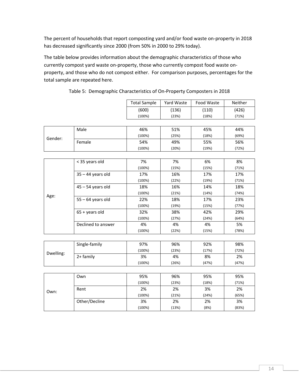The percent of households that report composting yard and/or food waste on-property in 2018 has decreased significantly since 2000 (from 50% in 2000 to 29% today).

The table below provides information about the demographic characteristics of those who currently compost yard waste on-property, those who currently compost food waste onproperty, and those who do not compost either. For comparison purposes, percentages for the total sample are repeated here.

|           |                         | <b>Total Sample</b> | Yard Waste | Food Waste | Neither |
|-----------|-------------------------|---------------------|------------|------------|---------|
|           |                         | (600)               | (136)      | (110)      | (426)   |
|           |                         | (100%)              | (23%)      | (18%)      | (71%)   |
|           |                         |                     |            |            |         |
|           | Male                    | 46%                 | 51%        | 45%        | 44%     |
| Gender:   |                         | (100%)              | (25%)      | (18%)      | (69%)   |
|           | Female                  | 54%                 | 49%        | 55%        | 56%     |
|           |                         | (100%)              | (20%)      | (19%)      | (72%)   |
|           |                         |                     |            |            |         |
|           | < 35 years old          | 7%                  | 7%         | 6%         | 8%      |
|           |                         | (100%)              | (15%)      | (15%)      | (71%)   |
|           | $35 - 44$ years old     | 17%                 | 16%        | 17%        | 17%     |
|           |                         | (100%)              | (22%)      | (19%)      | (71%)   |
|           | $45 - 54$ years old     | 18%                 | 16%        | 14%        | 18%     |
| Age:      |                         | (100%)              | (21%)      | (14%)      | (74%)   |
|           | $55 - 64$ years old     | 22%                 | 18%        | 17%        | 23%     |
|           |                         | (100%)              | (19%)      | (15%)      | (77%)   |
|           | $65 + \text{years}$ old | 32%                 | 38%        | 42%        | 29%     |
|           |                         | (100%)              | (27%)      | (24%)      | (64%)   |
|           | Declined to answer      | 4%                  | 4%         | 4%         | 5%      |
|           |                         | (100%)              | (22%)      | (15%)      | (78%)   |
|           |                         |                     |            |            |         |
|           | Single-family           | 97%                 | 96%        | 92%        | 98%     |
| Dwelling: |                         | (100%)              | (23%)      | (17%)      | (72%)   |
|           | 2+ family               | 3%                  | 4%         | 8%         | 2%      |
|           |                         | (100%)              | (26%)      | (47%)      | (47%)   |
|           |                         |                     |            |            |         |
|           | Own                     | 95%                 | 96%        | 95%        | 95%     |
|           |                         | (100%)              | (23%)      | (18%)      | (71%)   |
|           | Rent                    | 2%                  | 2%         | 3%         | 2%      |

|  | Table 5: Demographic Characteristics of On-Property Composters in 2018 |  |
|--|------------------------------------------------------------------------|--|
|  |                                                                        |  |

| Own: | Own           | 95%    | 96%   | 95%   | 95%   |
|------|---------------|--------|-------|-------|-------|
|      |               | (100%) | (23%) | (18%) | (71%) |
|      | Rent          | 2%     | 2%    | 3%    | 2%    |
|      |               | (100%) | (21%) | (24%) | (65%) |
|      | Other/Decline | 3%     | 2%    | 2%    | 3%    |
|      |               | (100%) | (13%) | (8%)  | (83%) |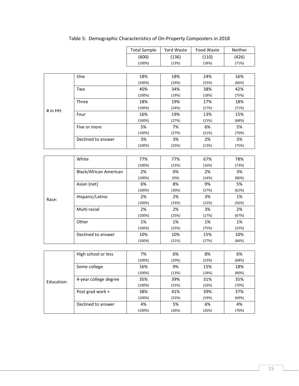|            |                    | <b>Total Sample</b> | Yard Waste | Food Waste | Neither |
|------------|--------------------|---------------------|------------|------------|---------|
|            |                    | (600)               | (136)      | (110)      | (426)   |
|            |                    | (100%)              | (23%)      | (18%)      | (71%)   |
|            |                    |                     |            |            |         |
|            | One                | 18%                 | 18%        | 24%        | 16%     |
|            |                    | (100%)              | (24%)      | (25%)      | (66%)   |
|            | Two                | 40%                 | 34%        | 38%        | 42%     |
|            |                    | (100%)              | (19%)      | (18%)      | (75%)   |
|            | Three              | 18%                 | 19%        | 17%        | 18%     |
| $#$ in HH: |                    | (100%)              | (24%)      | (17%)      | (71%)   |
|            | Four               | 16%                 | 19%        | 13%        | 15%     |
|            |                    | (100%)              | (27%)      | (15%)      | (68%)   |
|            | Five or more       | 5%                  | 7%         | 6%         | 5%      |
|            |                    | (100%)              | (27%)      | (21%)      | (70%)   |
|            | Declined to answer | 3%                  | 3%         | 2%         | 3%      |
|            |                    | (100%)              | (25%)      | (13%)      | (75%)   |

| Table 5: Demographic Characteristics of On-Property Composters in 2018 |  |
|------------------------------------------------------------------------|--|
|------------------------------------------------------------------------|--|

|       | White                  | 77%    | 77%   | 67%   | 78%   |
|-------|------------------------|--------|-------|-------|-------|
|       |                        | (100%) | (23%) | (16%) | (73%) |
|       | Black/African American | 2%     | 0%    | 2%    | 3%    |
|       |                        | (100%) | (0%)  | (14%) | (86%) |
|       | Asian (net)            | 6%     | 8%    | 9%    | 5%    |
|       |                        | (100%) | (30%) | (27%) | (62%) |
| Race: | Hispanic/Latino        | 2%     | 2%    | 3%    | 1%    |
|       |                        | (100%) | (33%) | (22%) | (56%) |
|       | Multi-racial           | 2%     | 2%    | 3%    | 2%    |
|       |                        | (100%) | (25%) | (17%) | (67%) |
|       | Other                  | 1%     | 1%    | 1%    | 1%    |
|       |                        | (100%) | (25%) | (75%) | (25%) |
|       | Declined to answer     | 10%    | 10%   | 15%   | 10%   |
|       |                        | (100%) | (21%) | (27%) | (66%) |

|            | High school or less   | 7%     | 6%    | 8%    | 6%    |
|------------|-----------------------|--------|-------|-------|-------|
|            |                       | (100%) | (20%) | (23%) | (68%) |
|            | Some college          | 16%    | 9%    | 15%   | 18%   |
|            |                       | (100%) | (13%) | (18%) | (80%) |
| Education: | 4-year college degree | 35%    | 39%   | 31%   | 35%   |
|            |                       | (100%) | (25%) | (16%) | (70%) |
|            | Post grad work +      | 38%    | 41%   | 39%   | 37%   |
|            |                       | (100%) | (25%) | (19%) | (69%) |
|            | Declined to answer    | 4%     | 5%    | 6%    | 4%    |
|            |                       | (100%) | (26%) | (26%) | (70%) |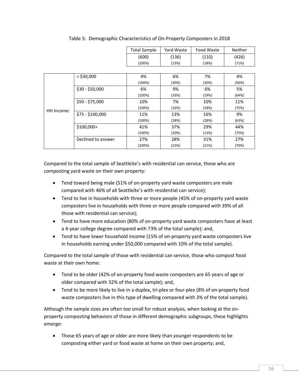|            |                    | <b>Total Sample</b> | Yard Waste | Food Waste | <b>Neither</b> |
|------------|--------------------|---------------------|------------|------------|----------------|
|            |                    | (600)               | (136)      | (110)      | (426)          |
|            |                    | (100%)              | (23%)      | (18%)      | (71%)          |
|            |                    |                     |            |            |                |
|            | $<$ \$30,000       | 4%                  | 6%         | 7%         | 4%             |
|            |                    | (100%)              | (30%)      | (30%)      | (56%)          |
| HH Income: | $$30 - $50,000$    | 6%                  | 9%<br>6%   |            | 5%             |
|            |                    | (100%)              | (33%)      | (19%)      | (64%)          |
|            | \$50 - \$75,000    | 10%                 | 7%         | 10%        | 11%            |
|            |                    | (100%)              | (16%)      | (18%)      | (75%)          |
|            | \$75 - \$100,000   | 11%                 | 13%        | 16%        | 9%             |
|            |                    | (100%)              | (28%)      | (28%)      | (63%)          |
|            | $$100,000+$        | 41%                 | 37%        | 29%        | 44%            |
|            |                    | (100%)              | (20%)      | (13%)      | (75%)          |
|            | Declined to answer | 27%                 | 28%        | 31%        | 27%            |
|            |                    | (100%)              | (23%)      | (21%)      | (70%)          |

Compared to the total sample of Seattleite's with residential can service, those who are composting yard waste on their own property:

- Tend toward being male (51% of on-property yard waste composters are male compared with 46% of all Seattleite's with residential can service);
- Tend to live in households with three or more people (45% of on-property yard waste composters live in households with three or more people compared with 39% of all those with residential can service);
- Tend to have more education (80% of on-property yard waste composters have at least a 4-year college degree compared with 73% of the total sample); and,
- Tend to have lower household income (15% of on-property yard waste composters live in households earning under \$50,000 compared with 10% of the total sample).

Compared to the total sample of those with residential can service, those who compost food waste at their own home:

- Tend to be older (42% of on-property food waste composters are 65 years of age or older compared with 32% of the total sample); and,
- Tend to be more likely to live in a duplex, tri-plex or four-plex (8% of on-property food waste composters live in this type of dwelling compared with 3% of the total sample).

Although the sample sizes are often too small for robust analysis, when looking at the onproperty composting behaviors of those in different demographic subgroups, these highlights emerge:

• Those 65 years of age or older are more likely than younger respondents to be composting either yard or food waste at home on their own property; and,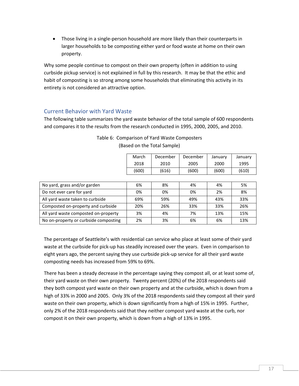• Those living in a single-person household are more likely than their counterparts in larger households to be composting either yard or food waste at home on their own property.

Why some people continue to compost on their own property (often in addition to using curbside pickup service) is not explained in full by this research. It may be that the ethic and habit of composting is so strong among some households that eliminating this activity in its entirety is not considered an attractive option.

#### <span id="page-20-0"></span>Current Behavior with Yard Waste

The following table summarizes the yard waste behavior of the total sample of 600 respondents and compares it to the results from the research conducted in 1995, 2000, 2005, and 2010.

|                                       | March | December | December | January | January |
|---------------------------------------|-------|----------|----------|---------|---------|
|                                       | 2018  | 2010     | 2005     | 2000    | 1995    |
|                                       | (600) | (616)    | (600)    | (600)   | (610)   |
|                                       |       |          |          |         |         |
| No yard, grass and/or garden          | 6%    | 8%       | 4%       | 4%      | 5%      |
| Do not ever care for yard             | 0%    | 0%       | 0%       | 2%      | 8%      |
| All yard waste taken to curbside      | 69%   | 59%      | 49%      | 43%     | 33%     |
| Composted on-property and curbside    | 20%   | 26%      | 33%      | 33%     | 26%     |
| All yard waste composted on-property  | 3%    | 4%       | 7%       | 13%     | 15%     |
| No on-property or curbside composting | 2%    | 3%       | 6%       | 6%      | 13%     |

# Table 6: Comparison of Yard Waste Composters (Based on the Total Sample)

The percentage of Seattleite's with residential can service who place at least some of their yard waste at the curbside for pick-up has steadily increased over the years. Even in comparison to eight years ago, the percent saying they use curbside pick-up service for all their yard waste composting needs has increased from 59% to 69%.

There has been a steady decrease in the percentage saying they compost all, or at least some of, their yard waste on their own property. Twenty percent (20%) of the 2018 respondents said they both compost yard waste on their own property and at the curbside, which is down from a high of 33% in 2000 and 2005. Only 3% of the 2018 respondents said they compost all their yard waste on their own property, which is down significantly from a high of 15% in 1995. Further, only 2% of the 2018 respondents said that they neither compost yard waste at the curb, nor compost it on their own property, which is down from a high of 13% in 1995.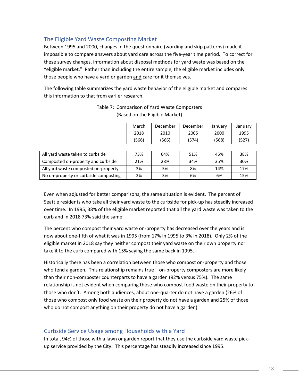# <span id="page-21-0"></span>The Eligible Yard Waste Composting Market

Between 1995 and 2000, changes in the questionnaire (wording and skip patterns) made it impossible to compare answers about yard care across the five-year time period. To correct for these survey changes, information about disposal methods for yard waste was based on the "eligible market." Rather than including the entire sample, the eligible market includes only those people who have a yard or garden and care for it themselves.

The following table summarizes the yard waste behavior of the eligible market and compares this information to that from earlier research.

| March | December | December | January | January |
|-------|----------|----------|---------|---------|
| 2018  | 2010     | 2005     | 2000    | 1995    |
| (566) | (566)    | (574)    | (568)   | (527)   |

# Table 7: Comparison of Yard Waste Composters (Based on the Eligible Market)

| All yard waste taken to curbside      | 73% | 64% | 51% | 45% | 38% |
|---------------------------------------|-----|-----|-----|-----|-----|
| Composted on-property and curbside    | 21% | 28% | 34% | 35% | 30% |
| All yard waste composted on-property  | 3%  | 5%  | 8%  | 14% | 17% |
| No on-property or curbside composting | 2%  | 3%  | 6%  | 6%  | 15% |

Even when adjusted for better comparisons, the same situation is evident. The percent of Seattle residents who take all their yard waste to the curbside for pick-up has steadily increased over time. In 1995, 38% of the eligible market reported that all the yard waste was taken to the curb and in 2018 73% said the same.

The percent who compost their yard waste on-property has decreased over the years and is now about one-fifth of what it was in 1995 (from 17% in 1995 to 3% in 2018). Only 2% of the eligible market in 2018 say they neither compost their yard waste on their own property nor take it to the curb compared with 15% saying the same back in 1995.

Historically there has been a correlation between those who compost on-property and those who tend a garden. This relationship remains true - on-property composters are more likely than their non-composter counterparts to have a garden (92% versus 75%). The same relationship is not evident when comparing those who compost food waste on their property to those who don't. Among both audiences, about one-quarter do not have a garden (26% of those who compost only food waste on their property do not have a garden and 25% of those who do not compost anything on their property do not have a garden).

## <span id="page-21-1"></span>Curbside Service Usage among Households with a Yard

In total, 94% of those with a lawn or garden report that they use the curbside yard waste pickup service provided by the City. This percentage has steadily increased since 1995.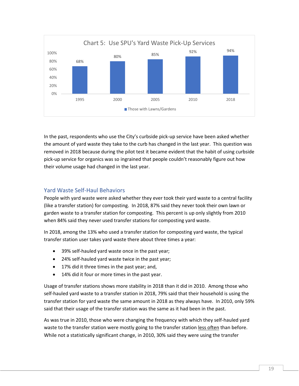

In the past, respondents who use the City's curbside pick-up service have been asked whether the amount of yard waste they take to the curb has changed in the last year. This question was removed in 2018 because during the pilot test it became evident that the habit of using curbside pick-up service for organics was so ingrained that people couldn't reasonably figure out how their volume usage had changed in the last year.

# <span id="page-22-0"></span>Yard Waste Self-Haul Behaviors

People with yard waste were asked whether they ever took their yard waste to a central facility (like a transfer station) for composting. In 2018, 87% said they never took their own lawn or garden waste to a transfer station for composting. This percent is up only slightly from 2010 when 84% said they never used transfer stations for composting yard waste.

In 2018, among the 13% who used a transfer station for composting yard waste, the typical transfer station user takes yard waste there about three times a year:

- 39% self-hauled yard waste once in the past year;
- 24% self-hauled yard waste twice in the past year;
- 17% did it three times in the past year; and,
- 14% did it four or more times in the past year.

Usage of transfer stations shows more stability in 2018 than it did in 2010. Among those who self-hauled yard waste to a transfer station in 2018, 79% said that their household is using the transfer station for yard waste the same amount in 2018 as they always have. In 2010, only 59% said that their usage of the transfer station was the same as it had been in the past.

As was true in 2010, those who were changing the frequency with which they self-hauled yard waste to the transfer station were mostly going to the transfer station less often than before. While not a statistically significant change, in 2010, 30% said they were using the transfer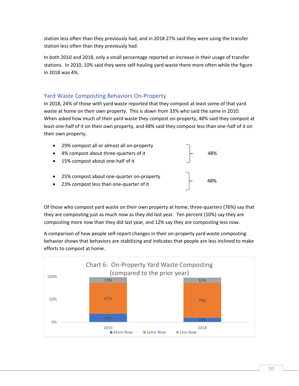station less often than they previously had, and in 2018 27% said they were using the transfer station less often than they previously had.

In both 2010 and 2018, only a small percentage reported an increase in their usage of transfer stations. In 2010, 10% said they were self-hauling yard waste there more often while the figure in 2018 was 4%.

# <span id="page-23-0"></span>Yard Waste Composting Behaviors On-Property

In 2018, 24% of those with yard waste reported that they compost at least some of that yard waste at home on their own property. This is down from 33% who said the same in 2010. When asked how much of their yard waste they compost on-property, 48% said they compost at least one-half of it on their own property, and 48% said they compost less than one-half of it on their own property.



Of those who compost yard waste on their own property at home, three-quarters (76%) say that they are composting just as much now as they did last year. Ten percent (10%) say they are composting more now than they did last year, and 12% say they are composting less now.

A comparison of how people self-report changes in their on-property yard waste composting behavior shows that behaviors are stabilizing and indicates that people are less inclined to make efforts to compost at home.

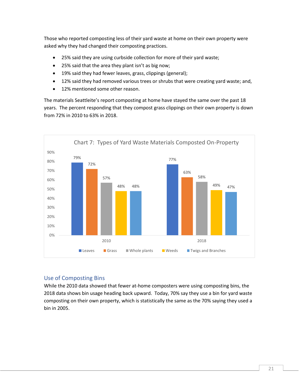Those who reported composting less of their yard waste at home on their own property were asked why they had changed their composting practices.

- 25% said they are using curbside collection for more of their yard waste;
- 25% said that the area they plant isn't as big now;
- 19% said they had fewer leaves, grass, clippings (general);
- 12% said they had removed various trees or shrubs that were creating yard waste; and,
- 12% mentioned some other reason.

The materials Seattleite's report composting at home have stayed the same over the past 18 years. The percent responding that they compost grass clippings on their own property is down from 72% in 2010 to 63% in 2018.



## <span id="page-24-0"></span>Use of Composting Bins

While the 2010 data showed that fewer at-home composters were using composting bins, the 2018 data shows bin usage heading back upward. Today, 70% say they use a bin for yard waste composting on their own property, which is statistically the same as the 70% saying they used a bin in 2005.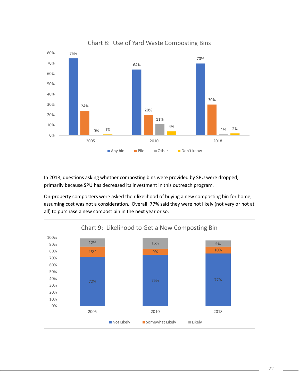

In 2018, questions asking whether composting bins were provided by SPU were dropped, primarily because SPU has decreased its investment in this outreach program.

On-property composters were asked their likelihood of buying a new composting bin for home, assuming cost was not a consideration. Overall, 77% said they were not likely (not very or not at all) to purchase a new compost bin in the next year or so.

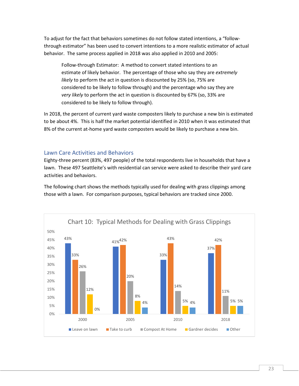To adjust for the fact that behaviors sometimes do not follow stated intentions, a "followthrough estimator" has been used to convert intentions to a more realistic estimator of actual behavior. The same process applied in 2018 was also applied in 2010 and 2005:

Follow-through Estimator: A method to convert stated intentions to an estimate of likely behavior. The percentage of those who say they are *extremely likely* to perform the act in question is discounted by 25% (so, 75% are considered to be likely to follow through) and the percentage who say they are *very likely* to perform the act in question is discounted by 67% (so, 33% are considered to be likely to follow through).

In 2018, the percent of current yard waste composters likely to purchase a new bin is estimated to be about 4%. This is half the market potential identified in 2010 when it was estimated that 8% of the current at-home yard waste composters would be likely to purchase a new bin.

## <span id="page-26-0"></span>Lawn Care Activities and Behaviors

Eighty-three percent (83%, 497 people) of the total respondents live in households that have a lawn. These 497 Seattleite's with residential can service were asked to describe their yard care activities and behaviors.

The following chart shows the methods typically used for dealing with grass clippings among those with a lawn. For comparison purposes, typical behaviors are tracked since 2000.

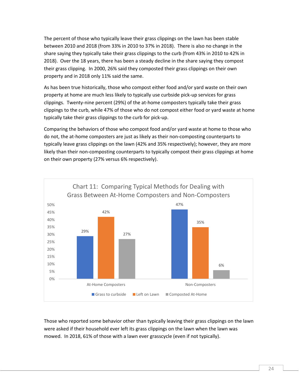The percent of those who typically leave their grass clippings on the lawn has been stable between 2010 and 2018 (from 33% in 2010 to 37% in 2018). There is also no change in the share saying they typically take their grass clippings to the curb (from 43% in 2010 to 42% in 2018). Over the 18 years, there has been a steady decline in the share saying they compost their grass clipping. In 2000, 26% said they composted their grass clippings on their own property and in 2018 only 11% said the same.

As has been true historically, those who compost either food and/or yard waste on their own property at home are much less likely to typically use curbside pick-up services for grass clippings. Twenty-nine percent (29%) of the at-home composters typically take their grass clippings to the curb, while 47% of those who do not compost either food or yard waste at home typically take their grass clippings to the curb for pick-up.

Comparing the behaviors of those who compost food and/or yard waste at home to those who do not, the at-home composters are just as likely as their non-composting counterparts to typically leave grass clippings on the lawn (42% and 35% respectively); however, they are more likely than their non-composting counterparts to typically compost their grass clippings at home on their own property (27% versus 6% respectively).



Those who reported some behavior other than typically leaving their grass clippings on the lawn were asked if their household ever left its grass clippings on the lawn when the lawn was mowed. In 2018, 61% of those with a lawn ever grasscycle (even if not typically).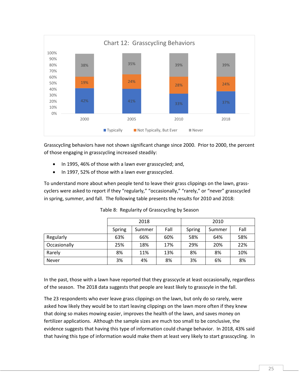

Grasscycling behaviors have not shown significant change since 2000. Prior to 2000, the percent of those engaging in grasscycling increased steadily:

- In 1995, 46% of those with a lawn ever grasscycled; and,
- In 1997, 52% of those with a lawn ever grasscycled.

To understand more about when people tend to leave their grass clippings on the lawn, grasscyclers were asked to report if they "regularly," "occasionally," "rarely," or "never" grasscycled in spring, summer, and fall. The following table presents the results for 2010 and 2018:

|              | 2018   |        |      | 2010   |        |      |
|--------------|--------|--------|------|--------|--------|------|
|              | Spring | Summer | Fall | Spring | Summer | Fall |
| Regularly    | 63%    | 66%    | 60%  | 58%    | 64%    | 58%  |
| Occasionally | 25%    | 18%    | 17%  | 29%    | 20%    | 22%  |
| Rarely       | 8%     | 11%    | 13%  | 8%     | 8%     | 10%  |
| Never        | 3%     | 4%     | 8%   | 3%     | 6%     | 8%   |

Table 8: Regularity of Grasscycling by Season

In the past, those with a lawn have reported that they grasscycle at least occasionally, regardless of the season. The 2018 data suggests that people are least likely to grasscyle in the fall.

The 23 respondents who ever leave grass clippings on the lawn, but only do so rarely, were asked how likely they would be to start leaving clippings on the lawn more often if they knew that doing so makes mowing easier, improves the health of the lawn, and saves money on fertilizer applications. Although the sample sizes are much too small to be conclusive, the evidence suggests that having this type of information could change behavior. In 2018, 43% said that having this type of information would make them at least very likely to start grasscycling. In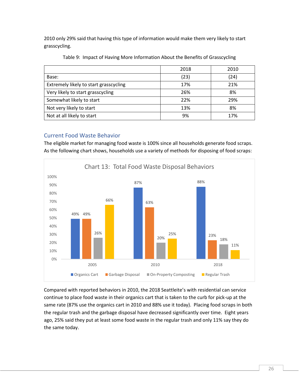2010 only 29% said that having this type of information would make them very likely to start grasscycling.

|                                        | 2018 | 2010 |
|----------------------------------------|------|------|
| Base:                                  | (23) | (24) |
| Extremely likely to start grasscycling | 17%  | 21%  |
| Very likely to start grasscycling      | 26%  | 8%   |
| Somewhat likely to start               | 22%  | 29%  |
| Not very likely to start               | 13%  | 8%   |
| Not at all likely to start             | 9%   | 17%  |

Table 9: Impact of Having More Information About the Benefits of Grasscycling

# <span id="page-29-0"></span>Current Food Waste Behavior

The eligible market for managing food waste is 100% since all households generate food scraps. As the following chart shows, households use a variety of methods for disposing of food scraps:



Compared with reported behaviors in 2010, the 2018 Seattleite's with residential can service continue to place food waste in their organics cart that is taken to the curb for pick-up at the same rate (87% use the organics cart in 2010 and 88% use it today). Placing food scraps in both the regular trash and the garbage disposal have decreased significantly over time. Eight years ago, 25% said they put at least some food waste in the regular trash and only 11% say they do the same today.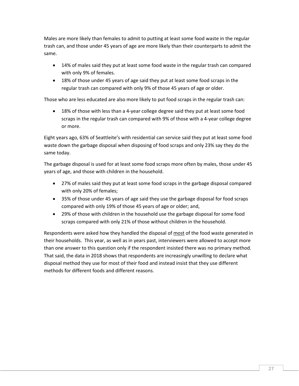Males are more likely than females to admit to putting at least some food waste in the regular trash can, and those under 45 years of age are more likely than their counterparts to admit the same.

- 14% of males said they put at least some food waste in the regular trash can compared with only 9% of females.
- 18% of those under 45 years of age said they put at least some food scraps in the regular trash can compared with only 9% of those 45 years of age or older.

Those who are less educated are also more likely to put food scraps in the regular trash can:

• 18% of those with less than a 4-year college degree said they put at least some food scraps in the regular trash can compared with 9% of those with a 4-year college degree or more.

Eight years ago, 63% of Seattleite's with residential can service said they put at least some food waste down the garbage disposal when disposing of food scraps and only 23% say they do the same today.

The garbage disposal is used for at least some food scraps more often by males, those under 45 years of age, and those with children in the household.

- 27% of males said they put at least some food scraps in the garbage disposal compared with only 20% of females;
- 35% of those under 45 years of age said they use the garbage disposal for food scraps compared with only 19% of those 45 years of age or older; and,
- 29% of those with children in the household use the garbage disposal for some food scraps compared with only 21% of those without children in the household.

Respondents were asked how they handled the disposal of most of the food waste generated in their households. This year, as well as in years past, interviewers were allowed to accept more than one answer to this question only if the respondent insisted there was no primary method. That said, the data in 2018 shows that respondents are increasingly unwilling to declare what disposal method they use for most of their food and instead insist that they use different methods for different foods and different reasons.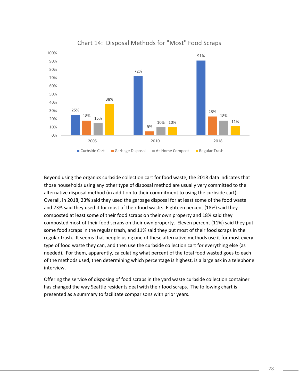

Beyond using the organics curbside collection cart for food waste, the 2018 data indicates that those households using any other type of disposal method are usually very committed to the alternative disposal method (in addition to their commitment to using the curbside cart). Overall, in 2018, 23% said they used the garbage disposal for at least some of the food waste and 23% said they used it for most of their food waste. Eighteen percent (18%) said they composted at least some of their food scraps on their own property and 18% said they composted most of their food scraps on their own property. Eleven percent (11%) said they put some food scraps in the regular trash, and 11% said they put most of their food scraps in the regular trash. It seems that people using one of these alternative methods use it for most every type of food waste they can, and then use the curbside collection cart for everything else (as needed). For them, apparently, calculating what percent of the total food wasted goes to each of the methods used, then determining which percentage is highest, is a large ask in a telephone interview.

Offering the service of disposing of food scraps in the yard waste curbside collection container has changed the way Seattle residents deal with their food scraps. The following chart is presented as a summary to facilitate comparisons with prior years.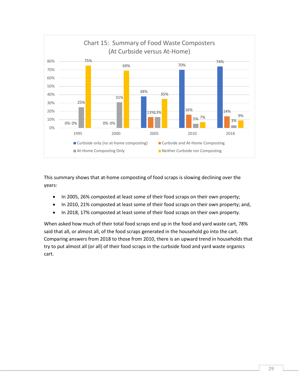

This summary shows that at-home composting of food scraps is slowing declining over the years:

- In 2005, 26% composted at least some of their food scraps on their own property;
- In 2010, 21% composted at least some of their food scraps on their own property; and,
- In 2018, 17% composted at least some of their food scraps on their own property.

When asked how much of their total food scraps end up in the food and yard waste cart, 78% said that all, or almost all, of the food scraps generated in the household go into the cart. Comparing answers from 2018 to those from 2010, there is an upward trend in households that try to put almost all (or all) of their food scraps in the curbside food and yard waste organics cart.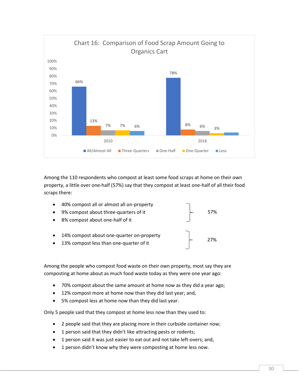

Among the 110 respondents who compost at least some food scraps at home on their own property, a little over one-half (57%) say that they compost at least one-half of all their food scraps there:



Among the people who compost food waste on their own property, most say they are composting at home about as much food waste today as they were one year ago:

- 70% compost about the same amount at home now as they did a year ago;
- 12% compost more at home now than they did last year; and,
- 5% compost less at home now than they did last year.

Only 5 people said that they compost at home less now than they used to:

- 2 people said that they are placing more in their curbside container now;
- 1 person said that they didn't like attracting pests or rodents;
- 1 person said it was just easier to eat out and not take left-overs; and,
- 1 person didn't know why they were composting at home less now.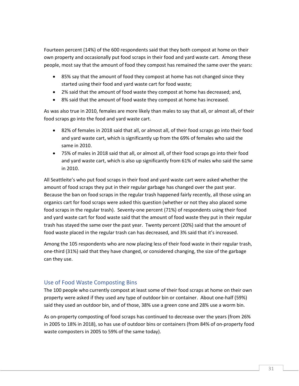Fourteen percent (14%) of the 600 respondents said that they both compost at home on their own property and occasionally put food scraps in their food and yard waste cart. Among these people, most say that the amount of food they compost has remained the same over the years:

- 85% say that the amount of food they compost at home has not changed since they started using their food and yard waste cart for food waste;
- 2% said that the amount of food waste they compost at home has decreased; and,
- 8% said that the amount of food waste they compost at home has increased.

As was also true in 2010, females are more likely than males to say that all, or almost all, of their food scraps go into the food and yard waste cart.

- 82% of females in 2018 said that all, or almost all, of their food scraps go into their food and yard waste cart, which is significantly up from the 69% of females who said the same in 2010.
- 75% of males in 2018 said that all, or almost all, of their food scraps go into their food and yard waste cart, which is also up significantly from 61% of males who said the same in 2010.

All Seattleite's who put food scraps in their food and yard waste cart were asked whether the amount of food scraps they put in their regular garbage has changed over the past year. Because the ban on food scraps in the regular trash happened fairly recently, all those using an organics cart for food scraps were asked this question (whether or not they also placed some food scraps in the regular trash). Seventy-one percent (71%) of respondents using their food and yard waste cart for food waste said that the amount of food waste they put in their regular trash has stayed the same over the past year. Twenty percent (20%) said that the amount of food waste placed in the regular trash can has decreased, and 3% said that it's increased.

Among the 105 respondents who are now placing less of their food waste in their regular trash, one-third (31%) said that they have changed, or considered changing, the size of the garbage can they use.

# <span id="page-34-0"></span>Use of Food Waste Composting Bins

The 100 people who currently compost at least some of their food scraps at home on their own property were asked if they used any type of outdoor bin or container. About one-half (59%) said they used an outdoor bin, and of those, 38% use a green cone and 28% use a worm bin.

As on-property composting of food scraps has continued to decrease over the years (from 26% in 2005 to 18% in 2018), so has use of outdoor bins or containers (from 84% of on-property food waste composters in 2005 to 59% of the same today).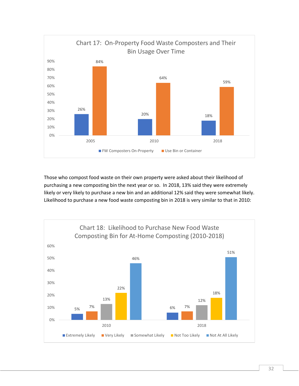

Those who compost food waste on their own property were asked about their likelihood of purchasing a new composting bin the next year or so. In 2018, 13% said they were extremely likely or very likely to purchase a new bin and an additional 12% said they were somewhat likely. Likelihood to purchase a new food waste composting bin in 2018 is very similar to that in 2010:

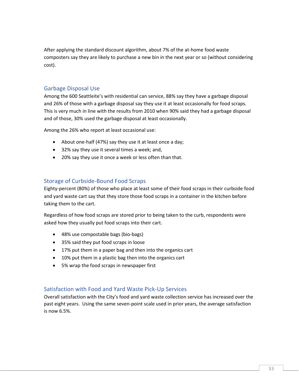After applying the standard discount algorithm, about 7% of the at-home food waste composters say they are likely to purchase a new bin in the next year or so (without considering cost).

# <span id="page-36-0"></span>Garbage Disposal Use

Among the 600 Seattleite's with residential can service, 88% say they have a garbage disposal and 26% of those with a garbage disposal say they use it at least occasionally for food scraps. This is very much in line with the results from 2010 when 90% said they had a garbage disposal and of those, 30% used the garbage disposal at least occasionally.

Among the 26% who report at least occasional use:

- About one-half (47%) say they use it at least once a day;
- 32% say they use it several times a week; and,
- 20% say they use it once a week or less often than that.

# <span id="page-36-1"></span>Storage of Curbside-Bound Food Scraps

Eighty-percent (80%) of those who place at least some of their food scraps in their curbside food and yard waste cart say that they store those food scraps in a container in the kitchen before taking them to the cart.

Regardless of how food scraps are stored prior to being taken to the curb, respondents were asked how they usually put food scraps into their cart.

- 48% use compostable bags (bio-bags)
- 35% said they put food scraps in loose
- 17% put them in a paper bag and then into the organics cart
- 10% put them in a plastic bag then into the organics cart
- 5% wrap the food scraps in newspaper first

#### <span id="page-36-2"></span>Satisfaction with Food and Yard Waste Pick-Up Services

Overall satisfaction with the City's food and yard waste collection service has increased over the past eight years. Using the same seven-point scale used in prior years, the average satisfaction is now 6.5%.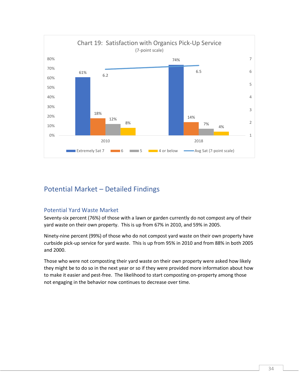

# <span id="page-37-0"></span>Potential Market – Detailed Findings

## <span id="page-37-1"></span>Potential Yard Waste Market

Seventy-six percent (76%) of those with a lawn or garden currently do not compost any of their yard waste on their own property. This is up from 67% in 2010, and 59% in 2005.

Ninety-nine percent (99%) of those who do not compost yard waste on their own property have curbside pick-up service for yard waste. This is up from 95% in 2010 and from 88% in both 2005 and 2000.

Those who were not composting their yard waste on their own property were asked how likely they might be to do so in the next year or so if they were provided more information about how to make it easier and pest-free. The likelihood to start composting on-property among those not engaging in the behavior now continues to decrease over time.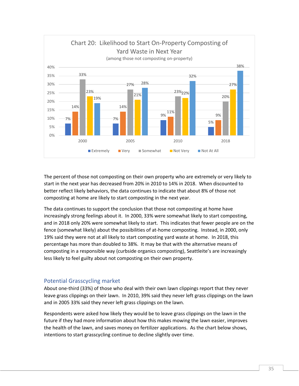

The percent of those not composting on their own property who are extremely or very likely to start in the next year has decreased from 20% in 2010 to 14% in 2018. When discounted to better reflect likely behaviors, the data continues to indicate that about 8% of those not composting at home are likely to start composting in the next year.

The data continues to support the conclusion that those not composting at home have increasingly strong feelings about it. In 2000, 33% were somewhat likely to start composting, and in 2018 only 20% were somewhat likely to start. This indicates that fewer people are on the fence (somewhat likely) about the possibilities of at-home composting. Instead, in 2000, only 19% said they were not at all likely to start composting yard waste at home. In 2018, this percentage has more than doubled to 38%. It may be that with the alternative means of composting in a responsible way (curbside organics composting), Seattleite's are increasingly less likely to feel guilty about not composting on their own property.

## <span id="page-38-0"></span>Potential Grasscycling market

About one-third (33%) of those who deal with their own lawn clippings report that they never leave grass clippings on their lawn. In 2010, 39% said they never left grass clippings on the lawn and in 2005 33% said they never left grass clippings on the lawn.

Respondents were asked how likely they would be to leave grass clippings on the lawn in the future if they had more information about how this makes mowing the lawn easier, improves the health of the lawn, and saves money on fertilizer applications. As the chart below shows, intentions to start grasscycling continue to decline slightly over time.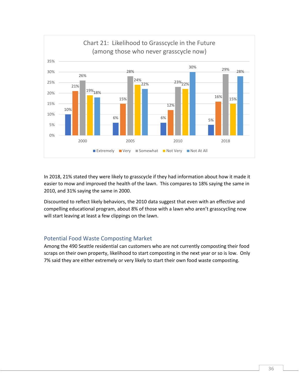

In 2018, 21% stated they were likely to grasscycle if they had information about how it made it easier to mow and improved the health of the lawn. This compares to 18% saying the same in 2010, and 31% saying the same in 2000.

Discounted to reflect likely behaviors, the 2010 data suggest that even with an effective and compelling educational program, about 8% of those with a lawn who aren't grasscycling now will start leaving at least a few clippings on the lawn.

## <span id="page-39-0"></span>Potential Food Waste Composting Market

Among the 490 Seattle residential can customers who are not currently composting their food scraps on their own property, likelihood to start composting in the next year or so is low. Only 7% said they are either extremely or very likely to start their own food waste composting.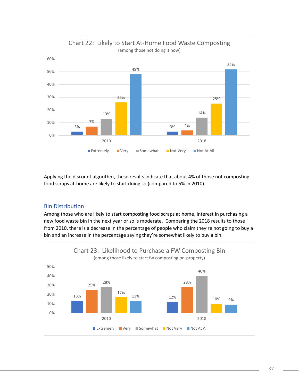

Applying the discount algorithm, these results indicate that about 4% of those not composting food scraps at-home are likely to start doing so (compared to 5% in 2010).

#### <span id="page-40-0"></span>Bin Distribution

Among those who are likely to start composting food scraps at home, interest in purchasing a new food waste bin in the next year or so is moderate. Comparing the 2018 results to those from 2010, there is a decrease in the percentage of people who claim they're not going to buy a bin and an increase in the percentage saying they're somewhat likely to buy a bin.

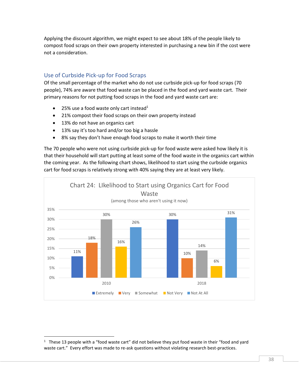Applying the discount algorithm, we might expect to see about 18% of the people likely to compost food scraps on their own property interested in purchasing a new bin if the cost were not a consideration.

# <span id="page-41-0"></span>Use of Curbside Pick-up for Food Scraps

Of the small percentage of the market who do not use curbside pick-up for food scraps (70 people), 74% are aware that food waste can be placed in the food and yard waste cart. Their primary reasons for not putting food scraps in the food and yard waste cart are:

- 25% use a food waste only cart instead<sup>1</sup>
- 21% compost their food scraps on their own property instead
- 13% do not have an organics cart
- 13% say it's too hard and/or too big a hassle
- 8% say they don't have enough food scraps to make it worth their time

The 70 people who were not using curbside pick-up for food waste were asked how likely it is that their household will start putting at least some of the food waste in the organics cart within the coming year. As the following chart shows, likelihood to start using the curbside organics cart for food scraps is relatively strong with 40% saying they are at least very likely.



 $\overline{\phantom{a}}$  $1$  These 13 people with a "food waste cart" did not believe they put food waste in their "food and yard waste cart." Every effort was made to re-ask questions without violating research best-practices.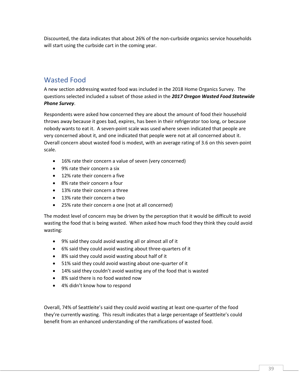Discounted, the data indicates that about 26% of the non-curbside organics service households will start using the curbside cart in the coming year.

# <span id="page-42-0"></span>Wasted Food

A new section addressing wasted food was included in the 2018 Home Organics Survey. The questions selected included a subset of those asked in the *2017 Oregon Wasted Food Statewide Phone Survey*.

Respondents were asked how concerned they are about the amount of food their household throws away because it goes bad, expires, has been in their refrigerator too long, or because nobody wants to eat it. A seven-point scale was used where seven indicated that people are very concerned about it, and one indicated that people were not at all concerned about it. Overall concern about wasted food is modest, with an average rating of 3.6 on this seven-point scale.

- 16% rate their concern a value of seven (very concerned)
- 9% rate their concern a six
- 12% rate their concern a five
- 8% rate their concern a four
- 13% rate their concern a three
- 13% rate their concern a two
- 25% rate their concern a one (not at all concerned)

The modest level of concern may be driven by the perception that it would be difficult to avoid wasting the food that is being wasted. When asked how much food they think they could avoid wasting:

- 9% said they could avoid wasting all or almost all of it
- 6% said they could avoid wasting about three-quarters of it
- 8% said they could avoid wasting about half of it
- 51% said they could avoid wasting about one-quarter of it
- 14% said they couldn't avoid wasting any of the food that is wasted
- 8% said there is no food wasted now
- 4% didn't know how to respond

Overall, 74% of Seattleite's said they could avoid wasting at least one-quarter of the food they're currently wasting. This result indicates that a large percentage of Seattleite's could benefit from an enhanced understanding of the ramifications of wasted food.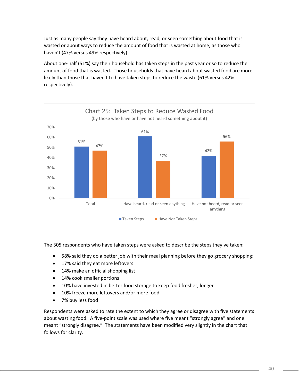Just as many people say they have heard about, read, or seen something about food that is wasted or about ways to reduce the amount of food that is wasted at home, as those who haven't (47% versus 49% respectively).

About one-half (51%) say their household has taken steps in the past year or so to reduce the amount of food that is wasted. Those households that have heard about wasted food are more likely than those that haven't to have taken steps to reduce the waste (61% versus 42% respectively).



The 305 respondents who have taken steps were asked to describe the steps they've taken:

- 58% said they do a better job with their meal planning before they go grocery shopping;
- 17% said they eat more leftovers
- 14% make an official shopping list
- 14% cook smaller portions
- 10% have invested in better food storage to keep food fresher, longer
- 10% freeze more leftovers and/or more food
- 7% buy less food

Respondents were asked to rate the extent to which they agree or disagree with five statements about wasting food. A five-point scale was used where five meant "strongly agree" and one meant "strongly disagree." The statements have been modified very slightly in the chart that follows for clarity.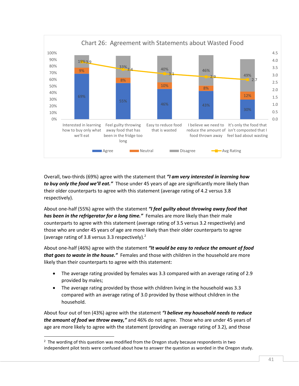

Overall, two-thirds (69%) agree with the statement that *"I am very interested in learning how to buy only the food we'll eat."* Those under 45 years of age are significantly more likely than their older counterparts to agree with this statement (average rating of 4.2 versus 3.8 respectively).

About one-half (55%) agree with the statement *"I feel guilty about throwing away food that has been in the refrigerator for a long time."* Females are more likely than their male counterparts to agree with this statement (average rating of 3.5 versus 3.2 respectively) and those who are under 45 years of age are more likely than their older counterparts to agree (average rating of 3.8 versus 3.3 respectively). $^2$ 

About one-half (46%) agree with the statement *"It would be easy to reduce the amount of food that goes to waste in the house."* Females and those with children in the household are more likely than their counterparts to agree with this statement:

- The average rating provided by females was 3.3 compared with an average rating of 2.9 provided by males;
- The average rating provided by those with children living in the household was 3.3 compared with an average rating of 3.0 provided by those without children in the household.

About four out of ten (43%) agree with the statement *"I believe my household needs to reduce the amount of food we throw away,"* and 46% do not agree. Those who are under 45 years of age are more likely to agree with the statement (providing an average rating of 3.2), and those

 $\overline{\phantom{a}}$ 

 $2$  The wording of this question was modified from the Oregon study because respondents in two independent pilot tests were confused about how to answer the question as worded in the Oregon study.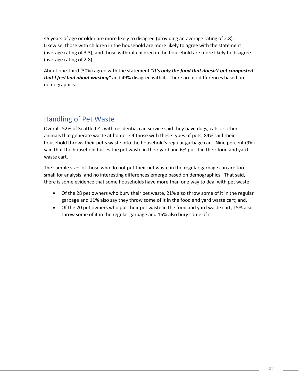45 years of age or older are more likely to disagree (providing an average rating of 2.8). Likewise, those with children in the household are more likely to agree with the statement (average rating of 3.3), and those without children in the household are more likely to disagree (average rating of 2.8).

About one-third (30%) agree with the statement *"It's only the food that doesn't get composted that I feel bad about wasting"* and 49% disagree with it. There are no differences based on demographics.

# <span id="page-45-0"></span>Handling of Pet Waste

Overall, 52% of Seattleite's with residential can service said they have dogs, cats or other animals that generate waste at home. Of those with these types of pets, 84% said their household throws their pet's waste into the household's regular garbage can. Nine percent (9%) said that the household buries the pet waste in their yard and 6% put it in their food and yard waste cart.

The sample sizes of those who do not put their pet waste in the regular garbage can are too small for analysis, and no interesting differences emerge based on demographics. That said, there is some evidence that some households have more than one way to deal with pet waste:

- Of the 28 pet owners who bury their pet waste, 21% also throw some of it in the regular garbage and 11% also say they throw some of it in the food and yard waste cart; and,
- Of the 20 pet owners who put their pet waste in the food and yard waste cart, 15% also throw some of it in the regular garbage and 15% also bury some of it.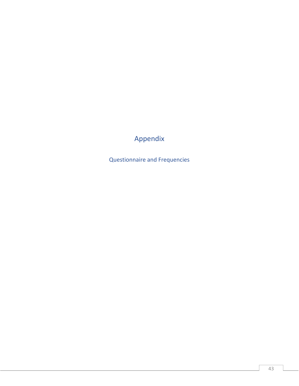# Appendix

Questionnaire and Frequencies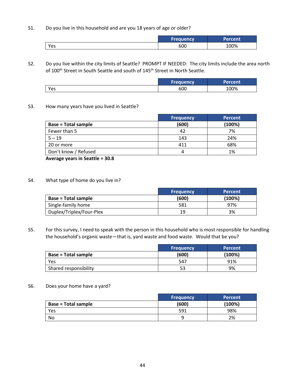S1. Do you live in this household and are you 18 years of age or older?

|     | Frequency | Percent |
|-----|-----------|---------|
| Yes | 600       | 100%    |

S2. Do you live within the city limits of Seattle? PROMPT IF NEEDED: The city limits include the area north of 100<sup>th</sup> Street in South Seattle and south of 145<sup>th</sup> Street in North Seattle.

|     | <b>Frequency</b> | ?ercent |
|-----|------------------|---------|
| Yes | 600              | 100%    |

#### S3. How many years have you lived in Seattle?

|                            | <b>Frequency</b> | <b>Percent</b> |
|----------------------------|------------------|----------------|
| <b>Base = Total sample</b> | (600)            | (100%)         |
| Fewer than 5               | 42               | 7%             |
| $5 - 19$                   | 143              | 24%            |
| 20 or more                 | 411              | 68%            |
| Don't know / Refused       | 4                | 1%             |

#### **Average years in Seattle = 30.8**

S4. What type of home do you live in?

|                            | <b>Frequency</b> | <b>Percent</b> |
|----------------------------|------------------|----------------|
| <b>Base = Total sample</b> | (600)            | (100%)         |
| Single-family home         | 581              | 97%            |
| Duplex/Triplex/Four-Plex   | 19               | 3%             |

S5. For this survey, I need to speak with the person in this household who is most responsible for handling the household's organic waste—that is, yard waste and food waste. Would that be you?

|                            | <b>Frequency</b> | <b>Percent</b> |
|----------------------------|------------------|----------------|
| <b>Base = Total sample</b> | (600)            | (100%)         |
| Yes                        | 547              | 91%            |
| Shared responsibility      | 53               | 9%             |

S6. Does your home have a yard?

|                            | <b>Frequency</b> | <b>Percent</b> |
|----------------------------|------------------|----------------|
| <b>Base = Total sample</b> | (600)            | (100%)         |
| Yes                        | 591              | 98%            |
| No                         |                  | 2%             |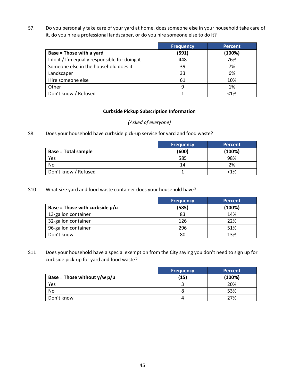S7. Do you personally take care of your yard at home, does someone else in your household take care of it, do you hire a professional landscaper, or do you hire someone else to do it?

|                                                | <b>Frequency</b> | <b>Percent</b> |
|------------------------------------------------|------------------|----------------|
| Base = Those with a yard                       | (591)            | (100%)         |
| I do it / I'm equally responsible for doing it | 448              | 76%            |
| Someone else in the household does it          | 39               | 7%             |
| Landscaper                                     | 33               | 6%             |
| Hire someone else                              | 61               | 10%            |
| Other                                          | 9                | 1%             |
| Don't know / Refused                           |                  | $< 1\%$        |

#### **Curbside Pickup Subscription Information**

#### *(Asked of everyone)*

S8. Does your household have curbside pick-up service for yard and food waste?

|                            | <b>Frequency</b> | <b>Percent</b> |
|----------------------------|------------------|----------------|
| <b>Base = Total sample</b> | (600)            | (100%)         |
| Yes                        | 585              | 98%            |
| No                         | 14               | 2%             |
| Don't know / Refused       |                  | <1%            |

S10 What size yard and food waste container does your household have?

|                                  | <b>Frequency</b> | <b>Percent</b> |
|----------------------------------|------------------|----------------|
| Base = Those with curbside $p/u$ | (585)            | (100%)         |
| 13-gallon container              | 83               | 14%            |
| 32-gallon container              | 126              | 22%            |
| 96-gallon container              | 296              | 51%            |
| Don't know                       | 80               | 13%            |

S11 Does your household have a special exemption from the City saying you don't need to sign up for curbside pick-up for yard and food waste?

|                                | <b>Frequency</b> | <b>Percent</b> |
|--------------------------------|------------------|----------------|
| Base = Those without $y/w p/u$ | (15)             | (100%)         |
| Yes                            |                  | 20%            |
| No                             |                  | 53%            |
| Don't know                     | 4                | 27%            |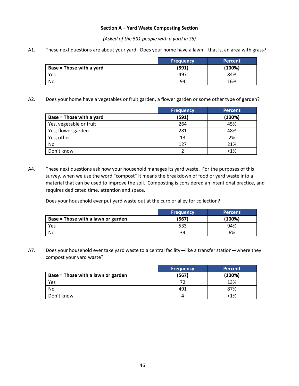#### **Section A – Yard Waste Composting Section**

*(Asked of the 591 people with a yard in S6)*

A1. These next questions are about your yard. Does your home have a lawn—that is, an area with grass?

|                          | <b>Frequency</b> | <b>Percent</b> |
|--------------------------|------------------|----------------|
| Base = Those with a yard | (591)            | (100%)         |
| Yes                      | 497              | 84%            |
| No                       | 94               | 16%            |

A2. Does your home have a vegetables or fruit garden, a flower garden or some other type of garden?

|                          | <b>Frequency</b> | <b>Percent</b> |
|--------------------------|------------------|----------------|
| Base = Those with a yard | (591)            | (100%)         |
| Yes, vegetable or fruit  | 264              | 45%            |
| Yes, flower garden       | 281              | 48%            |
| Yes, other               | 13               | 2%             |
| <b>No</b>                | 127              | 21%            |
| Don't know               |                  | < 1%           |

A4. These next questions ask how your household manages its yard waste. For the purposes of this survey, when we use the word "compost" it means the breakdown of food or yard waste into a material that can be used to improve the soil. Composting is considered an intentional practice, and requires dedicated time, attention and space.

Does your household ever put yard waste out at the curb or alley for collection?

|                                    | <b>Frequency</b> | <b>Percent</b> |
|------------------------------------|------------------|----------------|
| Base = Those with a lawn or garden | (567)            | (100%)         |
| Yes                                | 533              | 94%            |
| No                                 | 34               | 6%             |

A7. Does your household ever take yard waste to a central facility—like a transfer station—where they compost your yard waste?

|                                    | <b>Frequency</b> | <b>Percent</b> |
|------------------------------------|------------------|----------------|
| Base = Those with a lawn or garden | (567)            | (100%)         |
| Yes                                | 72               | 13%            |
| No                                 | 491              | 87%            |
| Don't know                         |                  | <1%            |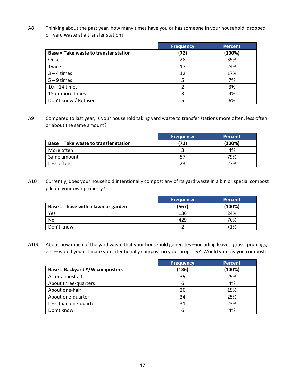A8 Thinking about the past year, how many times have you or has someone in your household, dropped off yard waste at a transfer station?

|                                              | Frequency | <b>Percent</b> |
|----------------------------------------------|-----------|----------------|
| <b>Base = Take waste to transfer station</b> | (72)      | (100%)         |
| Once                                         | 28        | 39%            |
| Twice                                        | 17        | 24%            |
| $3 - 4$ times                                | 12        | 17%            |
| $5 - 9$ times                                |           | 7%             |
| $10 - 14$ times                              |           | 3%             |
| 15 or more times                             | 3         | 4%             |
| Don't know / Refused                         |           | 6%             |

A9 Compared to last year, is your household taking yard waste to transfer stations more often, less often or about the same amount?

|                                              | <b>Frequency</b> | <b>Percent</b> |
|----------------------------------------------|------------------|----------------|
| <b>Base = Take waste to transfer station</b> | 72               | (100%)         |
| More often                                   |                  | 4%             |
| Same amount                                  | 57               | 79%            |
| Less often                                   | 23               | 27%            |

A10 Currently, does your household intentionally compost any of its yard waste in a bin or special compost pile on your own property?

|                                    | <b>Frequency</b> | <b>Percent</b> |
|------------------------------------|------------------|----------------|
| Base = Those with a lawn or garden | (567)            | (100%)         |
| Yes                                | 136              | 24%            |
| No                                 | 429              | 76%            |
| Don't know                         |                  | <1%            |

A10b About how much of the yard waste that your household generates—including leaves, grass, prunings, etc.—would you estimate you intentionally compost on your property? Would you say you compost:

|                                       | <b>Frequency</b> | Percent |
|---------------------------------------|------------------|---------|
| <b>Base = Backyard Y/W composters</b> | (136)            | (100%)  |
| All or almost all                     | 39               | 29%     |
| About three-quarters                  | 6                | 4%      |
| About one-half                        | 20               | 15%     |
| About one-quarter                     | 34               | 25%     |
| Less than one-quarter                 | 31               | 23%     |
| Don't know                            | 6                | 4%      |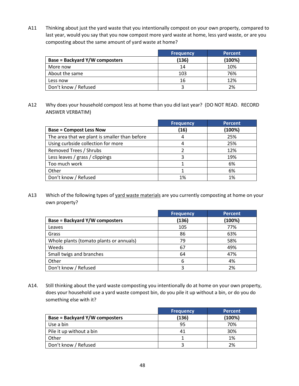A11 Thinking about just the yard waste that you intentionally compost on your own property, compared to last year, would you say that you now compost more yard waste at home, less yard waste, or are you composting about the same amount of yard waste at home?

|                                | <b>Frequency</b> | <b>Percent</b> |
|--------------------------------|------------------|----------------|
| Base = Backyard Y/W composters | (136)            | (100%)         |
| More now                       | 14               | 10%            |
| About the same                 | 103              | 76%            |
| Less now                       | 16               | 12%            |
| Don't know / Refused           |                  | 2%             |

A12 Why does your household compost less at home than you did last year? (DO NOT READ. RECORD ANSWER VERBATIM)

|                                               | <b>Frequency</b> | <b>Percent</b> |
|-----------------------------------------------|------------------|----------------|
| <b>Base = Compost Less Now</b>                | (16)             | (100%)         |
| The area that we plant is smaller than before | 4                | 25%            |
| Using curbside collection for more            | 4                | 25%            |
| Removed Trees / Shrubs                        |                  | 12%            |
| Less leaves / grass / clippings               | 3                | 19%            |
| Too much work                                 |                  | 6%             |
| Other                                         |                  | 6%             |
| Don't know / Refused                          | 1%               | 1%             |

A13 Which of the following types of yard waste materials are you currently composting at home on your own property?

|                                         | <b>Frequency</b> | <b>Percent</b> |
|-----------------------------------------|------------------|----------------|
| <b>Base = Backyard Y/W composters</b>   | (136)            | (100%)         |
| Leaves                                  | 105              | 77%            |
| Grass                                   | 86               | 63%            |
| Whole plants (tomato plants or annuals) | 79               | 58%            |
| Weeds                                   | 67               | 49%            |
| Small twigs and branches                | 64               | 47%            |
| Other                                   | 6                | 4%             |
| Don't know / Refused                    |                  | 2%             |

A14. Still thinking about the yard waste composting you intentionally do at home on your own property, does your household use a yard waste compost bin, do you pile it up without a bin, or do you do something else with it?

|                                | <b>Frequency</b> | <b>Percent</b> |
|--------------------------------|------------------|----------------|
| Base = Backyard Y/W composters | (136)            | (100%)         |
| Use a bin                      | 95               | 70%            |
| Pile it up without a bin       | 41               | 30%            |
| Other                          |                  | 1%             |
| Don't know / Refused           |                  | 2%             |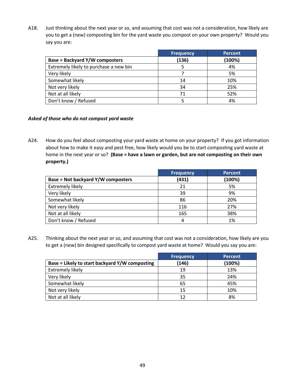A18. Just thinking about the next year or so, and assuming that cost was not a consideration, how likely are you to get a (new) composting bin for the yard waste you compost on your own property? Would you say you are:

|                                        | <b>Frequency</b> | Percent, |
|----------------------------------------|------------------|----------|
| Base = Backyard Y/W composters         | (136)            | (100%)   |
| Extremely likely to purchase a new bin |                  | 4%       |
| Very likely                            |                  | 5%       |
| Somewhat likely                        | 14               | 10%      |
| Not very likely                        | 34               | 25%      |
| Not at all likely                      | 71               | 52%      |
| Don't know / Refused                   |                  | 4%       |

#### *Asked of those who do not compost yard waste*

A24. How do you feel about composting your yard waste at home on your property? If you got information about how to make it easy and pest free, how likely would you be to start composting yard waste at home in the next year or so? **(Base = have a lawn or garden, but are not composting on their own property.)**

|                                    | <b>Frequency</b> | <b>Percent</b> |
|------------------------------------|------------------|----------------|
| Base = Not backyard Y/W composters | (431)            | (100%)         |
| <b>Extremely likely</b>            | 21               | 5%             |
| Very likely                        | 39               | 9%             |
| Somewhat likely                    | 86               | 20%            |
| Not very likely                    | 116              | 27%            |
| Not at all likely                  | 165              | 38%            |
| Don't know / Refused               | 4                | 1%             |

A25. Thinking about the next year or so, and assuming that cost was not a consideration, how likely are you to get a (new) bin designed specifically to compost yard waste at home? Would you say you are:

|                                                | <b>Frequency</b> | <b>Percent</b> |
|------------------------------------------------|------------------|----------------|
| Base = Likely to start backyard Y/W composting | (146)            | (100%)         |
| <b>Extremely likely</b>                        | 19               | 13%            |
| Very likely                                    | 35               | 24%            |
| Somewhat likely                                | 65               | 45%            |
| Not very likely                                | 15               | 10%            |
| Not at all likely                              | 12               | 8%             |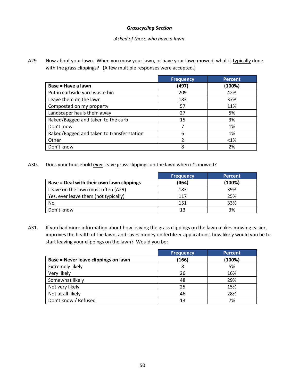#### *Grasscycling Section*

#### *Asked of those who have a lawn*

A29 Now about your lawn. When you mow your lawn, or have your lawn mowed, what is typically done with the grass clippings? (A few multiple responses were accepted.)

|                                            | <b>Frequency</b> | <b>Percent</b> |
|--------------------------------------------|------------------|----------------|
| Base = Have a lawn                         | (497)            | (100%)         |
| Put in curbside yard waste bin             | 209              | 42%            |
| Leave them on the lawn                     | 183              | 37%            |
| Composted on my property                   | 57               | 11%            |
| Landscaper hauls them away                 | 27               | 5%             |
| Raked/Bagged and taken to the curb         | 15               | 3%             |
| Don't mow                                  | 7                | 1%             |
| Raked/Bagged and taken to transfer station | 6                | 1%             |
| Other                                      | 2                | <1%            |
| Don't know                                 | 8                | 2%             |

A30. Does your household **ever** leave grass clippings on the lawn when it's mowed?

|                                           | <b>Frequency</b> | <b>Percent</b> |
|-------------------------------------------|------------------|----------------|
| Base = Deal with their own lawn clippings | (464)            | (100%)         |
| Leave on the lawn most often (A29)        | 183              | 39%            |
| Yes, ever leave them (not typically)      | 117              | 25%            |
| No                                        | 151              | 33%            |
| Don't know                                | 13               | 3%             |

A31. If you had more information about how leaving the grass clippings on the lawn makes mowing easier, improves the health of the lawn, and saves money on fertilizer applications, how likely would you be to start leaving your clippings on the lawn? Would you be:

|                                             | <b>Frequency</b> | Percent |
|---------------------------------------------|------------------|---------|
| <b>Base = Never leave clippings on lawn</b> | (166)            | (100%)  |
| <b>Extremely likely</b>                     | 8                | 5%      |
| Very likely                                 | 26               | 16%     |
| Somewhat likely                             | 48               | 29%     |
| Not very likely                             | 25               | 15%     |
| Not at all likely                           | 46               | 28%     |
| Don't know / Refused                        | 13               | 7%      |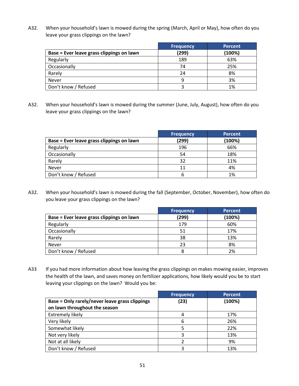A32. When your household's lawn is mowed during the spring (March, April or May), how often do you leave your grass clippings on the lawn?

|                                           | <b>Frequency</b> | <b>Percent</b> |
|-------------------------------------------|------------------|----------------|
| Base = Ever leave grass clippings on lawn | (299)            | (100%)         |
| Regularly                                 | 189              | 63%            |
| Occasionally                              | 74               | 25%            |
| Rarely                                    | 24               | 8%             |
| <b>Never</b>                              | 9                | 3%             |
| Don't know / Refused                      | 2                | 1%             |

A32. When your household's lawn is mowed during the summer (June, July, August), how often do you leave your grass clippings on the lawn?

|                                           | <b>Frequency</b> | Percent |
|-------------------------------------------|------------------|---------|
| Base = Ever leave grass clippings on lawn | (299)            | (100%)  |
| Regularly                                 | 196              | 66%     |
| Occasionally                              | 54               | 18%     |
| Rarely                                    | 32               | 11%     |
| Never                                     | 11               | 4%      |
| Don't know / Refused                      | 6                | 1%      |

A32. When your household's lawn is mowed during the fall (September, October, November), how often do you leave your grass clippings on the lawn?

|                                           | <b>Frequency</b> | <b>Percent</b> |
|-------------------------------------------|------------------|----------------|
| Base = Ever leave grass clippings on lawn | (299)            | (100%)         |
| Regularly                                 | 179              | 60%            |
| Occasionally                              | 51               | 17%            |
| Rarely                                    | 38               | 13%            |
| <b>Never</b>                              | 23               | 8%             |
| Don't know / Refused                      | 8                | 2%             |

A33 If you had more information about how leaving the grass clippings on makes mowing easier, improves the health of the lawn, and saves money on fertilizer applications, how likely would you be to start leaving your clippings on the lawn? Would you be:

|                                                | Frequency | <b>Percent</b> |
|------------------------------------------------|-----------|----------------|
| Base = Only rarely/never leave grass clippings | (23)      | (100%)         |
| on lawn throughout the season                  |           |                |
| <b>Extremely likely</b>                        | 4         | 17%            |
| Very likely                                    | 6         | 26%            |
| Somewhat likely                                | 5         | 22%            |
| Not very likely                                | 3         | 13%            |
| Not at all likely                              |           | 9%             |
| Don't know / Refused                           | 3         | 13%            |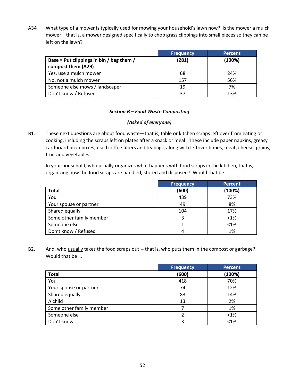A34 What type of a mower is typically used for mowing your household's lawn now? Is the mower a mulch mower—that is, a mower designed specifically to chop grass clippings into small pieces so they can be left on the lawn?

|                                          | <b>Frequency</b> | <b>Percent</b> |
|------------------------------------------|------------------|----------------|
| Base = Put clippings in bin / bag them / | (281)            | (100%)         |
| compost them (A29)                       |                  |                |
| Yes, use a mulch mower                   | 68               | 24%            |
| No, not a mulch mower                    | 157              | 56%            |
| Someone else mows / landscaper           | 19               | 7%             |
| Don't know / Refused                     | 37               | 13%            |

#### *Section B – Food Waste Composting*

#### *(Asked of everyone)*

B1. These next questions are about food waste—that is, table or kitchen scraps left over from eating or cooking, including the scraps left on plates after a snack or meal. These include paper napkins, greasy cardboard pizza boxes, used coffee filters and teabags, along with leftover bones, meat, cheese, grains, fruit and vegetables.

In your household, who usually organizes what happens with food scraps in the kitchen, that is, organizing how the food scraps are handled, stored and disposed? Would that be

|                          | Frequency | <b>Percent</b> |
|--------------------------|-----------|----------------|
| <b>Total</b>             | (600)     | (100%)         |
| You                      | 439       | 73%            |
| Your spouse or partner   | 49        | 8%             |
| Shared equally           | 104       | 17%            |
| Some other family member | 3         | $< 1\%$        |
| Someone else             |           | $< 1\%$        |
| Don't know / Refused     | 4         | 1%             |

B2. And, who usually takes the food scraps out -- that is, who puts them in the compost or garbage? Would that be …

|                          | <b>Frequency</b> | <b>Percent</b> |
|--------------------------|------------------|----------------|
| <b>Total</b>             | (600)            | (100%)         |
| You                      | 418              | 70%            |
| Your spouse or partner   | 74               | 12%            |
| Shared equally           | 83               | 14%            |
| A child                  | 13               | 2%             |
| Some other family member |                  | 1%             |
| Someone else             |                  | $< 1\%$        |
| Don't know               | 3                | $< 1\%$        |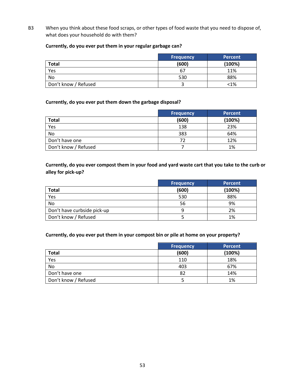B3 When you think about these food scraps, or other types of food waste that you need to dispose of, what does your household do with them?

#### **Currently, do you ever put them in your regular garbage can?**

|                      | <b>Frequency</b> | <b>Percent</b> |
|----------------------|------------------|----------------|
| <b>Total</b>         | (600)            | (100%)         |
| Yes                  | 67               | 11%            |
| No                   | 530              | 88%            |
| Don't know / Refused |                  | $< 1\%$        |

#### **Currently, do you ever put them down the garbage disposal?**

|                      | <b>Frequency</b> | <b>Percent</b> |
|----------------------|------------------|----------------|
| <b>Total</b>         | (600)            | (100%)         |
| Yes                  | 138              | 23%            |
| No                   | 383              | 64%            |
| Don't have one       | 72               | 12%            |
| Don't know / Refused |                  | 1%             |

#### **Currently, do you ever compost them in your food and yard waste cart that you take to the curb or alley for pick-up?**

|                             | <b>Frequency</b> | <b>Percent</b> |
|-----------------------------|------------------|----------------|
| <b>Total</b>                | (600)            | (100%)         |
| Yes                         | 530              | 88%            |
| No                          | 56               | 9%             |
| Don't have curbside pick-up | q                | 2%             |
| Don't know / Refused        |                  | 1%             |

#### **Currently, do you ever put them in your compost bin or pile at home on your property?**

|                      | <b>Frequency</b> | <b>Percent</b> |
|----------------------|------------------|----------------|
| <b>Total</b>         | (600)            | (100%)         |
| Yes                  | 110              | 18%            |
| No                   | 403              | 67%            |
| Don't have one       | 82               | 14%            |
| Don't know / Refused |                  | 1%             |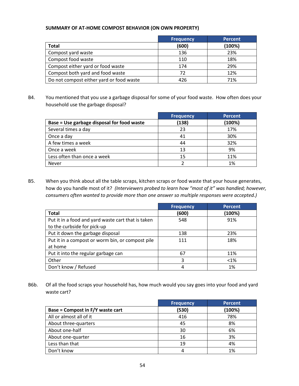#### **SUMMARY OF AT-HOME COMPOST BEHAVIOR (ON OWN PROPERTY)**

|                                          | <b>Frequency</b> | <b>Percent</b> |
|------------------------------------------|------------------|----------------|
| <b>Total</b>                             | (600)            | (100%)         |
| Compost yard waste                       | 136              | 23%            |
| Compost food waste                       | 110              | 18%            |
| Compost either yard or food waste        | 174              | 29%            |
| Compost both yard and food waste         | 72               | 12%            |
| Do not compost either yard or food waste | 426              | 71%            |

B4. You mentioned that you use a garbage disposal for some of your food waste. How often does your household use the garbage disposal?

|                                            | <b>Frequency</b> | Percent |
|--------------------------------------------|------------------|---------|
| Base = Use garbage disposal for food waste | (138)            | (100%)  |
| Several times a day                        | 23               | 17%     |
| Once a day                                 | 41               | 30%     |
| A few times a week                         | 44               | 32%     |
| Once a week                                | 13               | 9%      |
| Less often than once a week                | 15               | 11%     |
| <b>Never</b>                               |                  | 1%      |

B5. When you think about all the table scraps, kitchen scraps or food waste that your house generates, how do you handle most of it? *(Interviewers probed to learn how "most of it" was handled; however, consumers often wanted to provide more than one answer so multiple responses were accepted.)*

|                                                    | <b>Frequency</b> | <b>Percent</b> |
|----------------------------------------------------|------------------|----------------|
| <b>Total</b>                                       | (600)            | (100%)         |
| Put it in a food and yard waste cart that is taken | 548              | 91%            |
| to the curbside for pick-up                        |                  |                |
| Put it down the garbage disposal                   | 138              | 23%            |
| Put it in a compost or worm bin, or compost pile   | 111              | 18%            |
| at home                                            |                  |                |
| Put it into the regular garbage can                | 67               | 11%            |
| Other                                              | 3                | $< 1\%$        |
| Don't know / Refused                               | 4                | 1%             |

B6b. Of all the food scraps your household has, how much would you say goes into your food and yard waste cart?

|                                  | <b>Frequency</b> | <b>Percent</b> |
|----------------------------------|------------------|----------------|
| Base = Compost in F/Y waste cart | (530)            | (100%)         |
| All or almost all of it          | 416              | 78%            |
| About three-quarters             | 45               | 8%             |
| About one-half                   | 30               | 6%             |
| About one-quarter                | 16               | 3%             |
| Less than that                   | 19               | 4%             |
| Don't know                       | 4                | 1%             |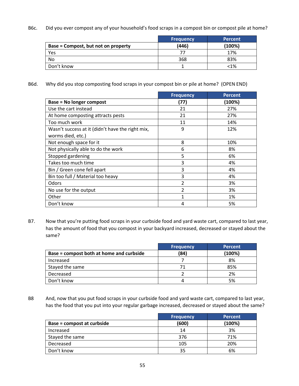B6c. Did you ever compost any of your household's food scraps in a compost bin or compost pile at home?

|                                     | <b>Frequency</b> | <b>Percent</b> |
|-------------------------------------|------------------|----------------|
| Base = Compost, but not on property | (446)            | (100%)         |
| Yes                                 |                  | 17%            |
| No                                  | 368              | 83%            |
| Don't know                          |                  | $< 1\%$        |

B6d. Why did you stop composting food scraps in your compost bin or pile at home? (OPEN END)

|                                                  | <b>Frequency</b> | <b>Percent</b> |
|--------------------------------------------------|------------------|----------------|
| <b>Base = No longer compost</b>                  | (77)             | (100%)         |
| Use the cart instead                             | 21               | 27%            |
| At home composting attracts pests                | 21               | 27%            |
| Too much work                                    | 11               | 14%            |
| Wasn't success at it (didn't have the right mix, | 9                | 12%            |
| worms died, etc.)                                |                  |                |
| Not enough space for it                          | 8                | 10%            |
| Not physically able to do the work               | 6                | 8%             |
| Stopped gardening                                | 5                | 6%             |
| Takes too much time                              | 3                | 4%             |
| Bin / Green cone fell apart                      | 3                | 4%             |
| Bin too full / Material too heavy                | 3                | 4%             |
| Odors                                            | $\overline{2}$   | 3%             |
| No use for the output                            | $\overline{2}$   | 3%             |
| Other                                            | 1                | 1%             |
| Don't know                                       | 4                | 5%             |

B7. Now that you're putting food scraps in your curbside food and yard waste cart, compared to last year, has the amount of food that you compost in your backyard increased, decreased or stayed about the same?

|                                          | <b>Frequency</b> | <b>Percent</b> |
|------------------------------------------|------------------|----------------|
| Base = compost both at home and curbside | (84)             | (100%)         |
| Increased                                |                  | 8%             |
| Stayed the same                          | 71               | 85%            |
| Decreased                                |                  | 2%             |
| Don't know                               | 4                | 5%             |

B8 And, now that you put food scraps in your curbside food and yard waste cart, compared to last year, has the food that you put into your regular garbage increased, decreased or stayed about the same?

|                            | <b>Frequency</b> | <b>Percent</b> |
|----------------------------|------------------|----------------|
| Base = compost at curbside | (600)            | (100%)         |
| Increased                  | 14               | 3%             |
| Stayed the same            | 376              | 71%            |
| Decreased                  | 105              | 20%            |
| Don't know                 | 35               | 6%             |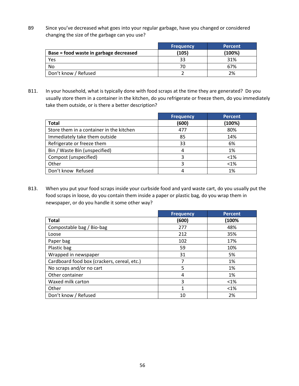B9 Since you've decreased what goes into your regular garbage, have you changed or considered changing the size of the garbage can you use?

|                                        | <b>Frequency</b> | <b>Percent</b> |
|----------------------------------------|------------------|----------------|
| Base = food waste in garbage decreased | (105)            | (100%)         |
| Yes                                    | 33               | 31%            |
| No                                     | 70               | 67%            |
| Don't know / Refused                   |                  | 2%             |

B11. In your household, what is typically done with food scraps at the time they are generated? Do you usually store them in a container in the kitchen, do you refrigerate or freeze them, do you immediately take them outside, or is there a better description?

|                                          | <b>Frequency</b> | <b>Percent</b> |
|------------------------------------------|------------------|----------------|
| <b>Total</b>                             | (600)            | (100%)         |
| Store them in a container in the kitchen | 477              | 80%            |
| Immediately take them outside            | 85               | 14%            |
| Refrigerate or freeze them               | 33               | 6%             |
| Bin / Waste Bin (unspecified)            | 4                | 1%             |
| Compost (unspecified)                    | 3                | $< 1\%$        |
| Other                                    | 3                | $< 1\%$        |
| Don't know Refused                       |                  | 1%             |

B13. When you put your food scraps inside your curbside food and yard waste cart, do you usually put the food scraps in loose, do you contain them inside a paper or plastic bag, do you wrap them in newspaper, or do you handle it some other way?

|                                             | <b>Frequency</b> | <b>Percent</b> |
|---------------------------------------------|------------------|----------------|
| <b>Total</b>                                | (600)            | (100%          |
| Compostable bag / Bio-bag                   | 277              | 48%            |
| Loose                                       | 212              | 35%            |
| Paper bag                                   | 102              | 17%            |
| Plastic bag                                 | 59               | 10%            |
| Wrapped in newspaper                        | 31               | 5%             |
| Cardboard food box (crackers, cereal, etc.) | 7                | 1%             |
| No scraps and/or no cart                    | 5                | 1%             |
| Other container                             | 4                | 1%             |
| Waxed milk carton                           | 3                | <1%            |
| Other                                       | 1                | <1%            |
| Don't know / Refused                        | 10               | 2%             |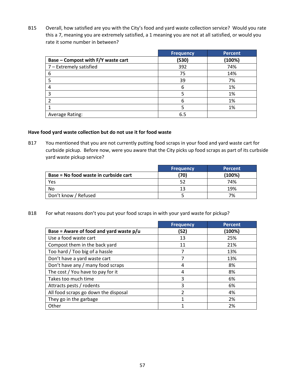B15 Overall, how satisfied are you with the City's food and yard waste collection service? Would you rate this a 7, meaning you are extremely satisfied, a 1 meaning you are not at all satisfied, or would you rate it some number in between?

|                                    | <b>Frequency</b> | <b>Percent</b> |
|------------------------------------|------------------|----------------|
| Base - Compost with F/Y waste cart | (530)            | (100%)         |
| 7 - Extremely satisfied            | 392              | 74%            |
| 6                                  | 75               | 14%            |
| 5                                  | 39               | 7%             |
| 4                                  | 6                | 1%             |
| 3                                  |                  | 1%             |
|                                    | 6                | 1%             |
|                                    |                  | 1%             |
| Average Rating:                    | 6.5              |                |

#### **Have food yard waste collection but do not use it for food waste**

B17 You mentioned that you are not currently putting food scraps in your food and yard waste cart for curbside pickup. Before now, were you aware that the City picks up food scraps as part of its curbside yard waste pickup service?

|                                       | <b>Frequency</b> | <b>Percent</b> |
|---------------------------------------|------------------|----------------|
| Base = No food waste in curbside cart | (70)             | (100%)         |
| Yes                                   | 52               | 74%            |
| No                                    | 13               | 19%            |
| Don't know / Refused                  |                  | 7%             |

B18 For what reasons don't you put your food scraps in with your yard waste for pickup?

|                                           | <b>Frequency</b> | <b>Percent</b> |
|-------------------------------------------|------------------|----------------|
| Base = Aware of food and yard waste $p/u$ | (52)             | (100%)         |
| Use a food waste cart                     | 13               | 25%            |
| Compost them in the back yard             | 11               | 21%            |
| Too hard / Too big of a hassle            |                  | 13%            |
| Don't have a yard waste cart              |                  | 13%            |
| Don't have any / many food scraps         | 4                | 8%             |
| The cost / You have to pay for it         | 4                | 8%             |
| Takes too much time                       | 3                | 6%             |
| Attracts pests / rodents                  | 3                | 6%             |
| All food scraps go down the disposal      | $\mathfrak z$    | 4%             |
| They go in the garbage                    | 1                | 2%             |
| Other                                     |                  | 2%             |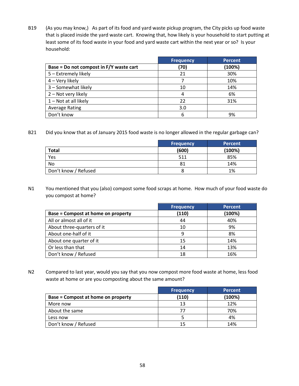B19 (As you may know,) As part of its food and yard waste pickup program, the City picks up food waste that is placed inside the yard waste cart. Knowing that, how likely is your household to start putting at least some of its food waste in your food and yard waste cart within the next year or so? Is your household:

|                                         | Frequency | <b>Percent</b> |
|-----------------------------------------|-----------|----------------|
| Base = Do not compost in F/Y waste cart | (70)      | (100%)         |
| 5 - Extremely likely                    | 21        | 30%            |
| 4 – Very likely                         |           | 10%            |
| 3 - Somewhat likely                     | 10        | 14%            |
| 2 - Not very likely                     | 4         | 6%             |
| 1 - Not at all likely                   | 22        | 31%            |
| <b>Average Rating</b>                   | 3.0       |                |
| Don't know                              | 6         | 9%             |

B21 Did you know that as of January 2015 food waste is no longer allowed in the regular garbage can?

|                      | <b>Frequency</b> | <b>Percent</b> |
|----------------------|------------------|----------------|
| <b>Total</b>         | (600)            | (100%)         |
| Yes                  | 511              | 85%            |
| No                   | 81               | 14%            |
| Don't know / Refused |                  | 1%             |

N1 You mentioned that you (also) compost some food scraps at home. How much of your food waste do you compost at home?

|                                    | <b>Frequency</b> | <b>Percent</b> |
|------------------------------------|------------------|----------------|
| Base = Compost at home on property | (110)            | (100%)         |
| All or almost all of it            | 44               | 40%            |
| About three-quarters of it         | 10               | 9%             |
| About one-half of it               | 9                | 8%             |
| About one quarter of it            | 15               | 14%            |
| Or less than that                  | 14               | 13%            |
| Don't know / Refused               | 18               | 16%            |

N2 Compared to last year, would you say that you now compost more food waste at home, less food waste at home or are you composting about the same amount?

|                                    | <b>Frequency</b> | <b>Percent</b> |
|------------------------------------|------------------|----------------|
| Base = Compost at home on property | (110)            | (100%)         |
| More now                           | 13               | 12%            |
| About the same                     | 77               | 70%            |
| Less now                           |                  | 4%             |
| Don't know / Refused               | 15               | 14%            |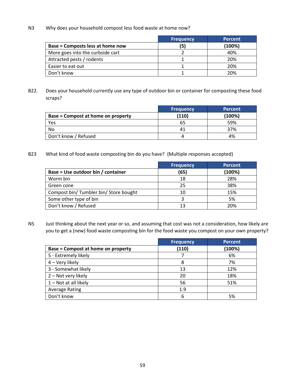N3 Why does your household compost less food waste at home now?

|                                  | <b>Frequency</b> | <b>Percent</b> |
|----------------------------------|------------------|----------------|
| Base = Composts less at home now | (5)              | (100%)         |
| More goes into the curbside cart |                  | 40%            |
| Attracted pests / rodents        |                  | 20%            |
| Easier to eat out                |                  | 20%            |
| Don't know                       |                  | 20%            |

B22. Does your household currently use any type of outdoor bin or container for composting these food scraps?

|                                    | <b>Frequency</b> | <b>Percent</b> |
|------------------------------------|------------------|----------------|
| Base = Compost at home on property | (110)            | (100%)         |
| Yes                                | 65               | 59%            |
| No                                 | 4.               | 37%            |
| Don't know / Refused               | 4                | 4%             |

B23 What kind of food waste composting bin do you have? (Multiple responses accepted)

|                                        | <b>Frequency</b> | <b>Percent</b> |
|----------------------------------------|------------------|----------------|
| Base = Use outdoor bin / container     | (65)             | (100%)         |
| Worm bin                               | 18               | 28%            |
| Green cone                             | 25               | 38%            |
| Compost bin/ Tumbler bin/ Store bought | 10               | 15%            |
| Some other type of bin                 | 3                | 5%             |
| Don't know / Refused                   | 13               | 20%            |

N5 Just thinking about the next year or so, and assuming that cost was not a consideration, how likely are you to get a (new) food waste composting bin for the food waste you compost on your own property?

|                                    | Frequency | <b>Percent</b> |
|------------------------------------|-----------|----------------|
| Base = Compost at home on property | (110)     | (100%)         |
| 5 - Extremely likely               |           | 6%             |
| 4 - Very likely                    | 8         | 7%             |
| 3 - Somewhat likely                | 13        | 12%            |
| 2 - Not very likely                | 20        | 18%            |
| 1 - Not at all likely              | 56        | 51%            |
| <b>Average Rating</b>              | 1.9       |                |
| Don't know                         | 6         | 5%             |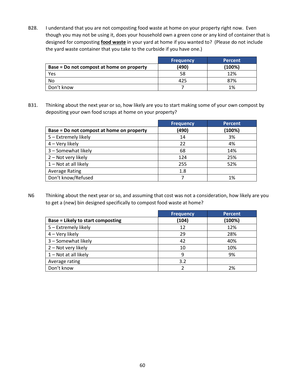B28. I understand that you are not composting food waste at home on your property right now. Even though you may not be using it, does your household own a green cone or any kind of container that is designed for composting **food waste** in your yard at home if you wanted to? (Please do not include the yard waste container that you take to the curbside if you have one.)

|                                           | <b>Frequency</b> | <b>Percent</b> |
|-------------------------------------------|------------------|----------------|
| Base = Do not compost at home on property | (490)            | (100%)         |
| Yes                                       | 58               | 12%            |
| No                                        | 425              | 87%            |
| Don't know                                |                  | 1%             |

B31. Thinking about the next year or so, how likely are you to start making some of your own compost by depositing your own food scraps at home on your property?

|                                           | <b>Frequency</b> | <b>Percent</b> |
|-------------------------------------------|------------------|----------------|
| Base = Do not compost at home on property | (490)            | (100%)         |
| 5 - Extremely likely                      | 14               | 3%             |
| 4 - Very likely                           | 22               | 4%             |
| 3 - Somewhat likely                       | 68               | 14%            |
| 2 - Not very likely                       | 124              | 25%            |
| 1 - Not at all likely                     | 255              | 52%            |
| <b>Average Rating</b>                     | 1.8              |                |
| Don't know/Refused                        |                  | 1%             |

N6 Thinking about the next year or so, and assuming that cost was not a consideration, how likely are you to get a (new) bin designed specifically to compost food waste at home?

|                                   | <b>Frequency</b> | <b>Percent</b> |
|-----------------------------------|------------------|----------------|
| Base = Likely to start composting | (104)            | (100%)         |
| 5 - Extremely likely              | 12               | 12%            |
| 4 - Very likely                   | 29               | 28%            |
| 3 - Somewhat likely               | 42               | 40%            |
| 2 - Not very likely               | 10               | 10%            |
| 1 - Not at all likely             | 9                | 9%             |
| Average rating                    | 3.2              |                |
| Don't know                        |                  | 2%             |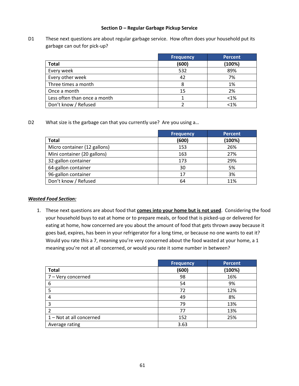#### **Section D – Regular Garbage Pickup Service**

D1 These next questions are about regular garbage service. How often does your household put its garbage can out for pick-up?

|                              | <b>Frequency</b> | Percent |
|------------------------------|------------------|---------|
| <b>Total</b>                 | (600)            | (100%)  |
| Every week                   | 532              | 89%     |
| Every other week             | 42               | 7%      |
| Three times a month          | 8                | 1%      |
| Once a month                 | 15               | 2%      |
| Less often than once a month |                  | $< 1\%$ |
| Don't know / Refused         |                  | $< 1\%$ |

D2 What size is the garbage can that you currently use? Are you using a...

|                              | <b>Frequency</b> | Percent |
|------------------------------|------------------|---------|
| <b>Total</b>                 | (600)            | (100%)  |
| Micro container (12 gallons) | 153              | 26%     |
| Mini container (20 gallons)  | 163              | 27%     |
| 32-gallon container          | 173              | 29%     |
| 64-gallon container          | 30               | 5%      |
| 96-gallon container          | 17               | 3%      |
| Don't know / Refused         | 64               | 11%     |

#### *Wasted Food Section:*

1. These next questions are about food that **comes into your home but is not used**. Considering the food your household buys to eat at home or to prepare meals, or food that is picked-up or delivered for eating at home, how concerned are you about the amount of food that gets thrown away because it goes bad, expires, has been in your refrigerator for a long time, or because no one wants to eat it? Would you rate this a 7, meaning you're very concerned about the food wasted at your home, a 1 meaning you're not at all concerned, or would you rate it some number in between?

|                        | <b>Frequency</b> | <b>Percent</b> |
|------------------------|------------------|----------------|
| <b>Total</b>           | (600)            | (100%)         |
| 7 – Very concerned     | 98               | 16%            |
| 6                      | 54               | 9%             |
| 5                      | 72               | 12%            |
| 4                      | 49               | 8%             |
| 3                      | 79               | 13%            |
| 2                      | 77               | 13%            |
| 1-Not at all concerned | 152              | 25%            |
| Average rating         | 3.63             |                |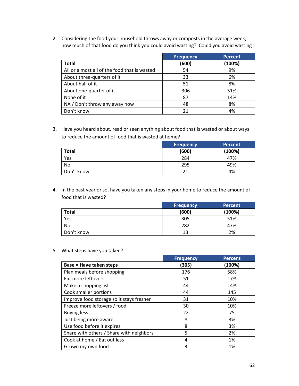2. Considering the food your household throws away or composts in the average week, how much of that food do you think you could avoid wasting? Could you avoid wasting :

|                                              | <b>Frequency</b> | <b>Percent</b> |
|----------------------------------------------|------------------|----------------|
| <b>Total</b>                                 | (600)            | (100%)         |
| All or almost all of the food that is wasted | 54               | 9%             |
| About three-quarters of it                   | 33               | 6%             |
| About half of it                             | 51               | 8%             |
| About one-quarter of it                      | 306              | 51%            |
| None of it                                   | 87               | 14%            |
| NA / Don't throw any away now                | 48               | 8%             |
| Don't know                                   | 21               | 4%             |

3. Have you heard about, read or seen anything about food that is wasted or about ways to reduce the amount of food that is wasted at home?

|              | <b>Frequency</b> | <b>Percent</b> |
|--------------|------------------|----------------|
| <b>Total</b> | (600)            | (100%)         |
| Yes          | 284              | 47%            |
| No           | 295              | 49%            |
| Don't know   | 21               | 4%             |

4. In the past year or so, have you taken any steps in your home to reduce the amount of food that is wasted?

|              | <b>Frequency</b> | <b>Percent</b> |
|--------------|------------------|----------------|
| <b>Total</b> | (600)            | (100%)         |
| Yes          | 305              | 51%            |
| No           | 282              | 47%            |
| Don't know   | 13               | 2%             |

5. What steps have you taken?

|                                          | <b>Frequency</b> | <b>Percent</b> |
|------------------------------------------|------------------|----------------|
| <b>Base = Have taken steps</b>           | (305)            | (100%)         |
| Plan meals before shopping               | 176              | 58%            |
| Eat more leftovers                       | 51               | 17%            |
| Make a shopping list                     | 44               | 14%            |
| Cook smaller portions                    | 44               | 145            |
| Improve food storage so it stays fresher | 31               | 10%            |
| Freeze more leftovers / food             | 30               | 10%            |
| <b>Buying less</b>                       | 22               | 75             |
| Just being more aware                    | 8                | 3%             |
| Use food before it expires               | 8                | 3%             |
| Share with others / Share with neighbors | 5                | 2%             |
| Cook at home / Eat out less              | 4                | 1%             |
| Grown my own food                        | 3                | 1%             |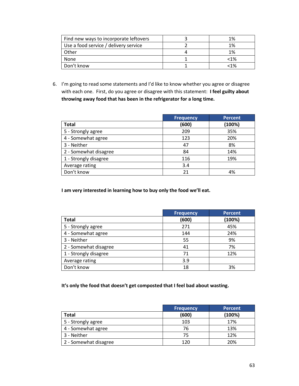| Find new ways to incorporate leftovers | 1%   |
|----------------------------------------|------|
| Use a food service / delivery service  | 1%   |
| Other                                  | 1%   |
| None                                   | < 1% |
| Don't know                             | <1%  |

6. I'm going to read some statements and I'd like to know whether you agree or disagree with each one. First, do you agree or disagree with this statement: **I feel guilty about throwing away food that has been in the refrigerator for a long time.** 

|                       | <b>Frequency</b> | <b>Percent</b> |
|-----------------------|------------------|----------------|
| <b>Total</b>          | (600)            | (100%)         |
| 5 - Strongly agree    | 209              | 35%            |
| 4 - Somewhat agree    | 123              | 20%            |
| 3 - Neither           | 47               | 8%             |
| 2 - Somewhat disagree | 84               | 14%            |
| 1 - Strongly disagree | 116              | 19%            |
| Average rating        | 3.4              |                |
| Don't know            | 21               | 4%             |

**I am very interested in learning how to buy only the food we'll eat.**

|                       | Frequency | <b>Percent</b> |
|-----------------------|-----------|----------------|
| <b>Total</b>          | (600)     | (100%)         |
| 5 - Strongly agree    | 271       | 45%            |
| 4 - Somewhat agree    | 144       | 24%            |
| 3 - Neither           | 55        | 9%             |
| 2 - Somewhat disagree | 41        | 7%             |
| 1 - Strongly disagree | 71        | 12%            |
| Average rating        | 3.9       |                |
| Don't know            | 18        | 3%             |

**It's only the food that doesn't get composted that I feel bad about wasting.**

|                       | <b>Frequency</b> | <b>Percent</b> |
|-----------------------|------------------|----------------|
| <b>Total</b>          | (600)            | (100%)         |
| 5 - Strongly agree    | 103              | 17%            |
| 4 - Somewhat agree    | 76               | 13%            |
| 3 - Neither           | 75               | 12%            |
| 2 - Somewhat disagree | 120              | 20%            |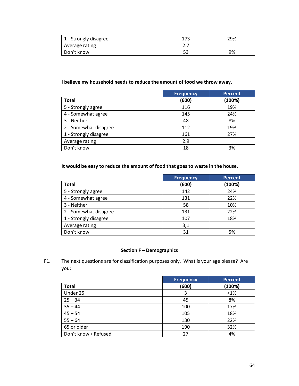| 1 - Strongly disagree | 173        | 29% |
|-----------------------|------------|-----|
| Average rating        | <i>L.I</i> |     |
| Don't know            | 53         | 9%  |

## **I believe my household needs to reduce the amount of food we throw away.**

|                       | <b>Frequency</b> | <b>Percent</b> |
|-----------------------|------------------|----------------|
| <b>Total</b>          | (600)            | (100%)         |
| 5 - Strongly agree    | 116              | 19%            |
| 4 - Somewhat agree    | 145              | 24%            |
| 3 - Neither           | 48               | 8%             |
| 2 - Somewhat disagree | 112              | 19%            |
| 1 - Strongly disagree | 161              | 27%            |
| Average rating        | 2.9              |                |
| Don't know            | 18               | 3%             |

#### **It would be easy to reduce the amount of food that goes to waste in the house.**

|                       | <b>Frequency</b> | Percent |
|-----------------------|------------------|---------|
| <b>Total</b>          | (600)            | (100%)  |
| 5 - Strongly agree    | 142              | 24%     |
| 4 - Somewhat agree    | 131              | 22%     |
| 3 - Neither           | 58               | 10%     |
| 2 - Somewhat disagree | 131              | 22%     |
| 1 - Strongly disagree | 107              | 18%     |
| Average rating        | 3,1              |         |
| Don't know            | 31               | 5%      |

## **Section F – Demographics**

F1. The next questions are for classification purposes only. What is your age please? Are you:

|                      | <b>Frequency</b> | <b>Percent</b> |
|----------------------|------------------|----------------|
| <b>Total</b>         | (600)            | (100%)         |
| Under 25             | 3                | $< 1\%$        |
| $25 - 34$            | 45               | 8%             |
| $35 - 44$            | 100              | 17%            |
| $45 - 54$            | 105              | 18%            |
| $55 - 64$            | 130              | 22%            |
| 65 or older          | 190              | 32%            |
| Don't know / Refused | 27               | 4%             |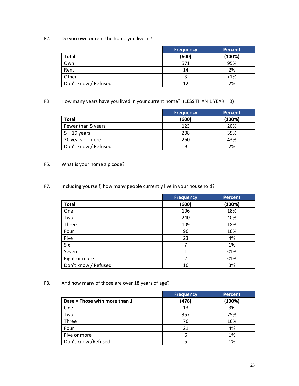F2. Do you own or rent the home you live in?

|                      | <b>Frequency</b> | <b>Percent</b> |
|----------------------|------------------|----------------|
| <b>Total</b>         | (600)            | (100%)         |
| Own                  | 571              | 95%            |
| Rent                 | 14               | 2%             |
| Other                |                  | $< 1\%$        |
| Don't know / Refused | 12               | 2%             |

# F3 How many years have you lived in your current home? (LESS THAN 1 YEAR = 0)

|                      | <b>Frequency</b> | <b>Percent</b> |
|----------------------|------------------|----------------|
| <b>Total</b>         | (600)            | (100%)         |
| Fewer than 5 years   | 123              | 20%            |
| $5 - 19$ years       | 208              | 35%            |
| 20 years or more     | 260              | 43%            |
| Don't know / Refused | q                | 2%             |

## F5. What is your home zip code?

F7. Including yourself, how many people currently live in your household?

|                      | <b>Frequency</b> | <b>Percent</b> |
|----------------------|------------------|----------------|
| <b>Total</b>         | (600)            | (100%)         |
| One                  | 106              | 18%            |
| Two                  | 240              | 40%            |
| Three                | 109              | 18%            |
| Four                 | 96               | 16%            |
| Five                 | 23               | 4%             |
| Six                  | 7                | 1%             |
| Seven                | 1                | $< 1\%$        |
| Eight or more        | 2                | $<1\%$         |
| Don't know / Refused | 16               | 3%             |

F8. And how many of those are over 18 years of age?

|                               | <b>Frequency</b> | <b>Percent</b> |
|-------------------------------|------------------|----------------|
| Base = Those with more than 1 | (478)            | (100%)         |
| One                           | 13               | 3%             |
| Two                           | 357              | 75%            |
| <b>Three</b>                  | 76               | 16%            |
| Four                          | 21               | 4%             |
| Five or more                  | 6                | 1%             |
| Don't know / Refused          |                  | 1%             |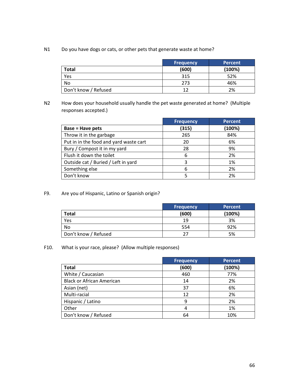N1 Do you have dogs or cats, or other pets that generate waste at home?

|                      | <b>Frequency</b> | <b>Percent</b> |
|----------------------|------------------|----------------|
| <b>Total</b>         | (600)            | (100%)         |
| Yes                  | 315              | 52%            |
| No.                  | 273              | 46%            |
| Don't know / Refused |                  | 2%             |

## N2 How does your household usually handle the pet waste generated at home? (Multiple responses accepted.)

|                                        | <b>Frequency</b> | <b>Percent</b> |
|----------------------------------------|------------------|----------------|
| <b>Base = Have pets</b>                | (315)            | (100%)         |
| Throw it in the garbage                | 265              | 84%            |
| Put in in the food and yard waste cart | 20               | 6%             |
| Bury / Compost it in my yard           | 28               | 9%             |
| Flush it down the toilet               | 6                | 2%             |
| Outside cat / Buried / Left in yard    | 3                | 1%             |
| Something else                         | 6                | 2%             |
| Don't know                             | 5                | 2%             |

## F9. Are you of Hispanic, Latino or Spanish origin?

|                      | <b>Frequency</b> | Percent |
|----------------------|------------------|---------|
| <b>Total</b>         | (600)            | (100%)  |
| Yes                  | 19               | 3%      |
| No                   | 554              | 92%     |
| Don't know / Refused | 27               | 5%      |

## F10. What is your race, please? (Allow multiple responses)

|                                  | <b>Frequency</b> | <b>Percent</b> |
|----------------------------------|------------------|----------------|
| <b>Total</b>                     | (600)            | (100%)         |
| White / Caucasian                | 460              | 77%            |
| <b>Black or African American</b> | 14               | 2%             |
| Asian (net)                      | 37               | 6%             |
| Multi-racial                     | 12               | 2%             |
| Hispanic / Latino                | 9                | 2%             |
| Other                            | 4                | 1%             |
| Don't know / Refused             | 64               | 10%            |